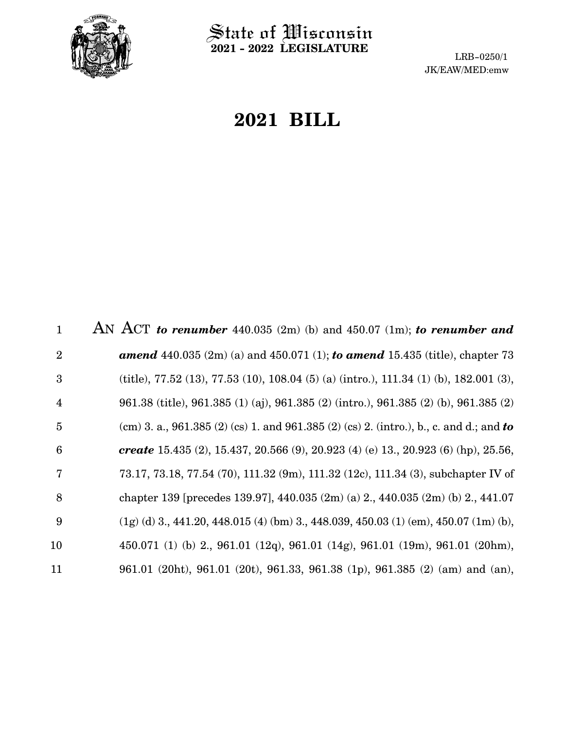

**2021 - 2022 LEGISLATURE**

LRB-0250/1 JK/EAW/MED:emw

# **2021 BILL**

| $\mathbf{1}$   | AN ACT to renumber 440.035 (2m) (b) and 450.07 (1m); to renumber and                           |
|----------------|------------------------------------------------------------------------------------------------|
| $\overline{2}$ | <b>amend</b> 440.035 $(2m)$ (a) and 450.071 $(1)$ ; <b>to amend</b> 15.435 (title), chapter 73 |
| 3              | (title), 77.52 (13), 77.53 (10), 108.04 (5) (a) (intro.), 111.34 (1) (b), 182.001 (3),         |
| $\overline{4}$ | 961.38 (title), 961.385 (1) (aj), 961.385 (2) (intro.), 961.385 (2) (b), 961.385 (2)           |
| 5              | (cm) 3. a., 961.385 (2) (cs) 1. and 961.385 (2) (cs) 2. (intro.), b., c. and d.; and to        |
| 6              | create 15.435 (2), 15.437, 20.566 (9), 20.923 (4) (e) 13., 20.923 (6) (hp), 25.56,             |
| 7              | 73.17, 73.18, 77.54 (70), 111.32 (9m), 111.32 (12c), 111.34 (3), subchapter IV of              |
| 8              | chapter 139 [precedes 139.97], 440.035 $(2m)(a)$ 2, 440.035 $(2m)(b)$ 2, 441.07                |
| 9              | $(1g)$ (d) 3, 441.20, 448.015 (4) (bm) 3, 448.039, 450.03 (1) (em), 450.07 (1m) (b),           |
| 10             | 450.071 (1) (b) 2, 961.01 (12q), 961.01 (14g), 961.01 (19m), 961.01 (20hm),                    |
| 11             | 961.01 (20ht), 961.01 (20t), 961.33, 961.38 (1p), 961.385 (2) (am) and (an),                   |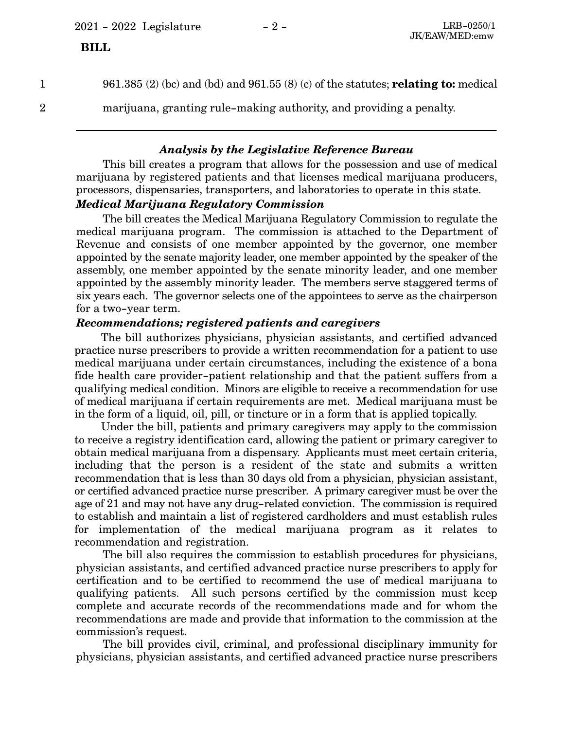1

961.385 (2) (bc) and (bd) and 961.55 (8) (c) of the statutes; **relating to:** medical

2

marijuana, granting rule-making authority, and providing a penalty.

#### *Analysis by the Legislative Reference Bureau*

This bill creates a program that allows for the possession and use of medical marijuana by registered patients and that licenses medical marijuana producers, processors, dispensaries, transporters, and laboratories to operate in this state.

#### *Medical Marijuana Regulatory Commission*

The bill creates the Medical Marijuana Regulatory Commission to regulate the medical marijuana program. The commission is attached to the Department of Revenue and consists of one member appointed by the governor, one member appointed by the senate majority leader, one member appointed by the speaker of the assembly, one member appointed by the senate minority leader, and one member appointed by the assembly minority leader. The members serve staggered terms of six years each. The governor selects one of the appointees to serve as the chairperson for a two-year term.

#### *Recommendations; registered patients and caregivers*

The bill authorizes physicians, physician assistants, and certified advanced practice nurse prescribers to provide a written recommendation for a patient to use medical marijuana under certain circumstances, including the existence of a bona fide health care provider-patient relationship and that the patient suffers from a qualifying medical condition. Minors are eligible to receive a recommendation for use of medical marijuana if certain requirements are met. Medical marijuana must be in the form of a liquid, oil, pill, or tincture or in a form that is applied topically.

Under the bill, patients and primary caregivers may apply to the commission to receive a registry identification card, allowing the patient or primary caregiver to obtain medical marijuana from a dispensary. Applicants must meet certain criteria, including that the person is a resident of the state and submits a written recommendation that is less than 30 days old from a physician, physician assistant, or certified advanced practice nurse prescriber. A primary caregiver must be over the age of 21 and may not have any drug-related conviction. The commission is required to establish and maintain a list of registered cardholders and must establish rules for implementation of the medical marijuana program as it relates to recommendation and registration.

The bill also requires the commission to establish procedures for physicians, physician assistants, and certified advanced practice nurse prescribers to apply for certification and to be certified to recommend the use of medical marijuana to qualifying patients. All such persons certified by the commission must keep complete and accurate records of the recommendations made and for whom the recommendations are made and provide that information to the commission at the commission's request.

The bill provides civil, criminal, and professional disciplinary immunity for physicians, physician assistants, and certified advanced practice nurse prescribers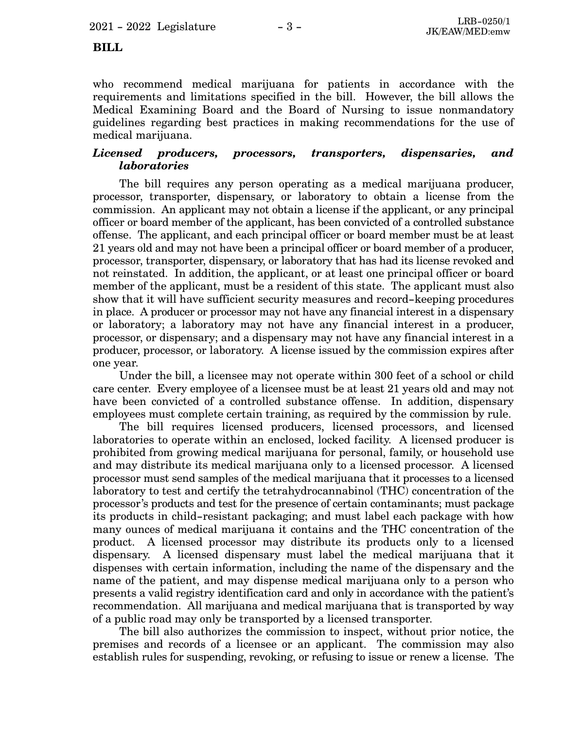$2021 - 2022$  Legislature  $-3 -$  LRB-0250/1

#### **BILL**

who recommend medical marijuana for patients in accordance with the requirements and limitations specified in the bill. However, the bill allows the Medical Examining Board and the Board of Nursing to issue nonmandatory guidelines regarding best practices in making recommendations for the use of medical marijuana.

#### *Licensed producers, processors, transporters, dispensaries, and laboratories*

The bill requires any person operating as a medical marijuana producer, processor, transporter, dispensary, or laboratory to obtain a license from the commission. An applicant may not obtain a license if the applicant, or any principal officer or board member of the applicant, has been convicted of a controlled substance offense. The applicant, and each principal officer or board member must be at least 21 years old and may not have been a principal officer or board member of a producer, processor, transporter, dispensary, or laboratory that has had its license revoked and not reinstated. In addition, the applicant, or at least one principal officer or board member of the applicant, must be a resident of this state. The applicant must also show that it will have sufficient security measures and record-keeping procedures in place. A producer or processor may not have any financial interest in a dispensary or laboratory; a laboratory may not have any financial interest in a producer, processor, or dispensary; and a dispensary may not have any financial interest in a producer, processor, or laboratory. A license issued by the commission expires after one year.

Under the bill, a licensee may not operate within 300 feet of a school or child care center. Every employee of a licensee must be at least 21 years old and may not have been convicted of a controlled substance offense. In addition, dispensary employees must complete certain training, as required by the commission by rule.

The bill requires licensed producers, licensed processors, and licensed laboratories to operate within an enclosed, locked facility. A licensed producer is prohibited from growing medical marijuana for personal, family, or household use and may distribute its medical marijuana only to a licensed processor. A licensed processor must send samples of the medical marijuana that it processes to a licensed laboratory to test and certify the tetrahydrocannabinol (THC) concentration of the processor's products and test for the presence of certain contaminants; must package its products in child-resistant packaging; and must label each package with how many ounces of medical marijuana it contains and the THC concentration of the product. A licensed processor may distribute its products only to a licensed dispensary. A licensed dispensary must label the medical marijuana that it dispenses with certain information, including the name of the dispensary and the name of the patient, and may dispense medical marijuana only to a person who presents a valid registry identification card and only in accordance with the patient's recommendation. All marijuana and medical marijuana that is transported by way of a public road may only be transported by a licensed transporter.

The bill also authorizes the commission to inspect, without prior notice, the premises and records of a licensee or an applicant. The commission may also establish rules for suspending, revoking, or refusing to issue or renew a license. The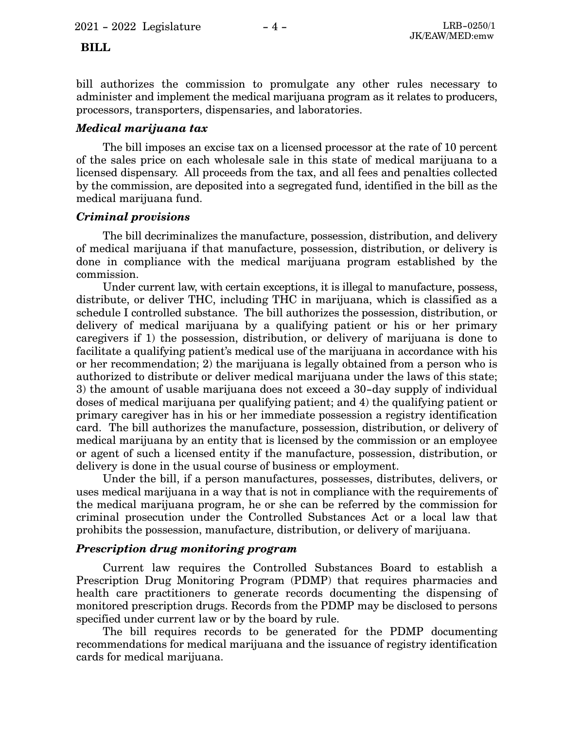bill authorizes the commission to promulgate any other rules necessary to administer and implement the medical marijuana program as it relates to producers, processors, transporters, dispensaries, and laboratories.

#### *Medical marijuana tax*

The bill imposes an excise tax on a licensed processor at the rate of 10 percent of the sales price on each wholesale sale in this state of medical marijuana to a licensed dispensary. All proceeds from the tax, and all fees and penalties collected by the commission, are deposited into a segregated fund, identified in the bill as the medical marijuana fund.

#### *Criminal provisions*

The bill decriminalizes the manufacture, possession, distribution, and delivery of medical marijuana if that manufacture, possession, distribution, or delivery is done in compliance with the medical marijuana program established by the commission.

Under current law, with certain exceptions, it is illegal to manufacture, possess, distribute, or deliver THC, including THC in marijuana, which is classified as a schedule I controlled substance. The bill authorizes the possession, distribution, or delivery of medical marijuana by a qualifying patient or his or her primary caregivers if 1) the possession, distribution, or delivery of marijuana is done to facilitate a qualifying patient's medical use of the marijuana in accordance with his or her recommendation; 2) the marijuana is legally obtained from a person who is authorized to distribute or deliver medical marijuana under the laws of this state; 3) the amount of usable marijuana does not exceed a 30-day supply of individual doses of medical marijuana per qualifying patient; and 4) the qualifying patient or primary caregiver has in his or her immediate possession a registry identification card. The bill authorizes the manufacture, possession, distribution, or delivery of medical marijuana by an entity that is licensed by the commission or an employee or agent of such a licensed entity if the manufacture, possession, distribution, or delivery is done in the usual course of business or employment.

Under the bill, if a person manufactures, possesses, distributes, delivers, or uses medical marijuana in a way that is not in compliance with the requirements of the medical marijuana program, he or she can be referred by the commission for criminal prosecution under the Controlled Substances Act or a local law that prohibits the possession, manufacture, distribution, or delivery of marijuana.

#### *Prescription drug monitoring program*

Current law requires the Controlled Substances Board to establish a Prescription Drug Monitoring Program (PDMP) that requires pharmacies and health care practitioners to generate records documenting the dispensing of monitored prescription drugs. Records from the PDMP may be disclosed to persons specified under current law or by the board by rule.

The bill requires records to be generated for the PDMP documenting recommendations for medical marijuana and the issuance of registry identification cards for medical marijuana.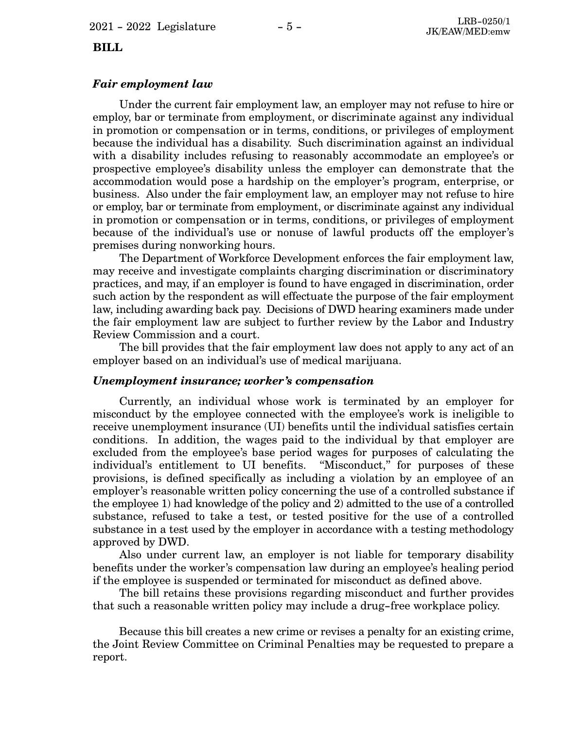#### *Fair employment law*

Under the current fair employment law, an employer may not refuse to hire or employ, bar or terminate from employment, or discriminate against any individual in promotion or compensation or in terms, conditions, or privileges of employment because the individual has a disability. Such discrimination against an individual with a disability includes refusing to reasonably accommodate an employee's or prospective employee's disability unless the employer can demonstrate that the accommodation would pose a hardship on the employer's program, enterprise, or business. Also under the fair employment law, an employer may not refuse to hire or employ, bar or terminate from employment, or discriminate against any individual in promotion or compensation or in terms, conditions, or privileges of employment because of the individual's use or nonuse of lawful products off the employer's premises during nonworking hours.

The Department of Workforce Development enforces the fair employment law, may receive and investigate complaints charging discrimination or discriminatory practices, and may, if an employer is found to have engaged in discrimination, order such action by the respondent as will effectuate the purpose of the fair employment law, including awarding back pay. Decisions of DWD hearing examiners made under the fair employment law are subject to further review by the Labor and Industry Review Commission and a court.

The bill provides that the fair employment law does not apply to any act of an employer based on an individual's use of medical marijuana.

#### *Unemployment insurance; worker's compensation*

Currently, an individual whose work is terminated by an employer for misconduct by the employee connected with the employee's work is ineligible to receive unemployment insurance (UI) benefits until the individual satisfies certain conditions. In addition, the wages paid to the individual by that employer are excluded from the employee's base period wages for purposes of calculating the individual's entitlement to UI benefits. "Misconduct," for purposes of these provisions, is defined specifically as including a violation by an employee of an employer's reasonable written policy concerning the use of a controlled substance if the employee 1) had knowledge of the policy and 2) admitted to the use of a controlled substance, refused to take a test, or tested positive for the use of a controlled substance in a test used by the employer in accordance with a testing methodology approved by DWD.

Also under current law, an employer is not liable for temporary disability benefits under the worker's compensation law during an employee's healing period if the employee is suspended or terminated for misconduct as defined above.

The bill retains these provisions regarding misconduct and further provides that such a reasonable written policy may include a drug-free workplace policy.

Because this bill creates a new crime or revises a penalty for an existing crime, the Joint Review Committee on Criminal Penalties may be requested to prepare a report.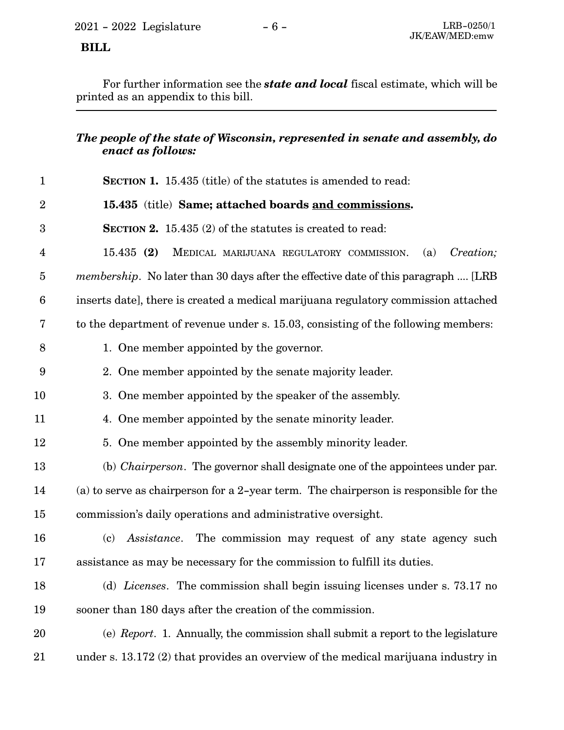For further information see the *state and local* fiscal estimate, which will be printed as an appendix to this bill.

### *The people of the state of Wisconsin, represented in senate and assembly, do enact as follows:*

| $\mathbf{1}$     | <b>SECTION 1.</b> 15.435 (title) of the statutes is amended to read:                      |
|------------------|-------------------------------------------------------------------------------------------|
| $\overline{2}$   | 15.435 (title) Same; attached boards and commissions.                                     |
| 3                | <b>SECTION 2.</b> 15.435 (2) of the statutes is created to read:                          |
| 4                | Creation;<br>15.435(2)<br>MEDICAL MARIJUANA REGULATORY COMMISSION.<br>(a)                 |
| $\overline{5}$   | <i>membership.</i> No later than 30 days after the effective date of this paragraph  [LRB |
| $6\phantom{.}6$  | inserts date], there is created a medical marijuana regulatory commission attached        |
| 7                | to the department of revenue under s. 15.03, consisting of the following members:         |
| 8                | 1. One member appointed by the governor.                                                  |
| $\boldsymbol{9}$ | 2. One member appointed by the senate majority leader.                                    |
| 10               | 3. One member appointed by the speaker of the assembly.                                   |
| 11               | 4. One member appointed by the senate minority leader.                                    |
| 12               | 5. One member appointed by the assembly minority leader.                                  |
| 13               | (b) <i>Chairperson</i> . The governor shall designate one of the appointees under par.    |
| 14               | (a) to serve as chairperson for a $2$ -year term. The chairperson is responsible for the  |
| 15               | commission's daily operations and administrative oversight.                               |
| 16               | Assistance. The commission may request of any state agency such<br>(c)                    |
| 17               | assistance as may be necessary for the commission to fulfill its duties.                  |
| 18               | (d) Licenses. The commission shall begin issuing licenses under s. 73.17 no               |
| 19               | sooner than 180 days after the creation of the commission.                                |
| 20               | (e) Report. 1. Annually, the commission shall submit a report to the legislature          |
| 21               | under s. 13.172 (2) that provides an overview of the medical marijuana industry in        |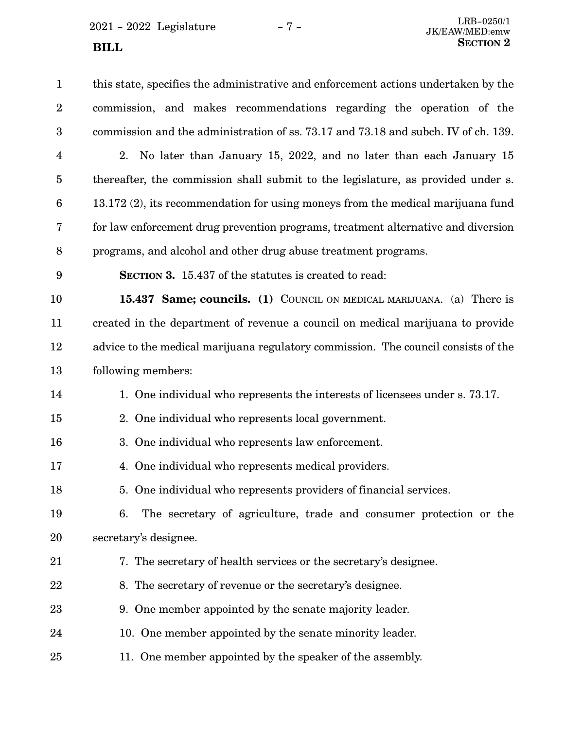2021 - 2022 Legislature - 7 -

| $\mathbf{1}$    | this state, specifies the administrative and enforcement actions undertaken by the |
|-----------------|------------------------------------------------------------------------------------|
| $\overline{2}$  | commission, and makes recommendations regarding the operation of the               |
| 3               | commission and the administration of ss. 73.17 and 73.18 and subch. IV of ch. 139. |
| $\overline{4}$  | 2. No later than January 15, 2022, and no later than each January 15               |
| $\overline{5}$  | thereafter, the commission shall submit to the legislature, as provided under s.   |
| $6\phantom{.}6$ | 13.172 (2), its recommendation for using moneys from the medical marijuana fund    |
| 7               | for law enforcement drug prevention programs, treatment alternative and diversion  |
| 8               | programs, and alcohol and other drug abuse treatment programs.                     |
| 9               | <b>SECTION 3.</b> 15.437 of the statutes is created to read:                       |
| 10              | 15.437 Same; councils. (1) COUNCIL ON MEDICAL MARIJUANA. (a) There is              |
| 11              | created in the department of revenue a council on medical marijuana to provide     |
| 12              | advice to the medical marijuana regulatory commission. The council consists of the |
| 13              | following members:                                                                 |
| 14              | 1. One individual who represents the interests of licensees under s. 73.17.        |
| 15              | 2. One individual who represents local government.                                 |
| 16              | 3. One individual who represents law enforcement.                                  |
| 17              | 4. One individual who represents medical providers.                                |
| 18              | 5. One individual who represents providers of financial services.                  |
| 19              | The secretary of agriculture, trade and consumer protection or the<br>6.           |
| 20              | secretary's designee.                                                              |
| 21              | 7. The secretary of health services or the secretary's designee.                   |
| 22              | 8. The secretary of revenue or the secretary's designee.                           |
| 23              | 9. One member appointed by the senate majority leader.                             |
| 24              | 10. One member appointed by the senate minority leader.                            |
| 25              | 11. One member appointed by the speaker of the assembly.                           |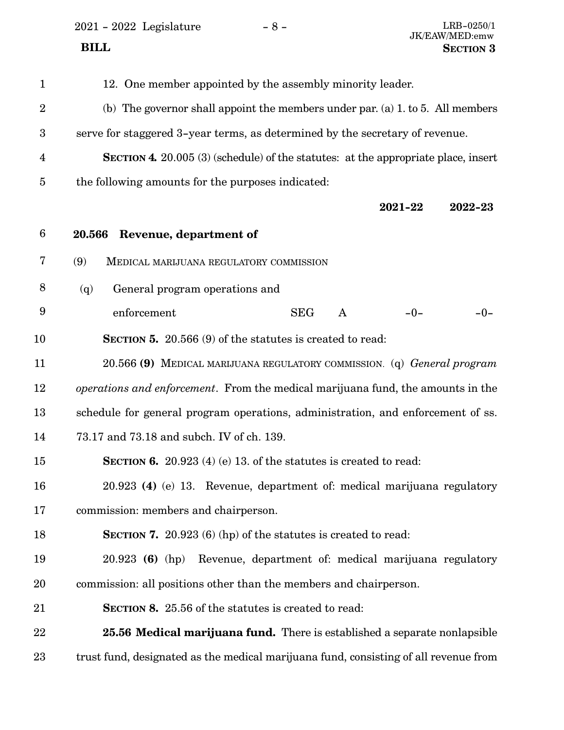2021 - 2022 Legislature - 8 - LRB-0250/1 JK/EAW/MED:emw  **BILL** SECTION 3

12. One member appointed by the assembly minority leader. (b) The governor shall appoint the members under par. (a) 1. to 5. All members serve for staggered 3-year terms, as determined by the secretary of revenue. **SECTION 4.** 20.005 (3) (schedule) of the statutes: at the appropriate place, insert the following amounts for the purposes indicated: **2021-22 2022-23 20.566 Revenue, department of** (9) MEDICAL MARIJUANA REGULATORY COMMISSION (q) General program operations and enforcement SEG A -0-**SECTION 5.** 20.566 (9) of the statutes is created to read: 20.566 **(9)** MEDICAL MARIJUANA REGULATORY COMMISSION. (q) *General program operations and enforcement*. From the medical marijuana fund, the amounts in the schedule for general program operations, administration, and enforcement of ss. 73.17 and 73.18 and subch. IV of ch. 139. **SECTION 6.** 20.923 (4) (e) 13. of the statutes is created to read: 20.923 **(4)** (e) 13. Revenue, department of: medical marijuana regulatory commission: members and chairperson. **SECTION 7.** 20.923 (6) (hp) of the statutes is created to read: 20.923 **(6)** (hp) Revenue, department of: medical marijuana regulatory commission: all positions other than the members and chairperson. **SECTION 8.** 25.56 of the statutes is created to read: **25.56 Medical marijuana fund.** There is established a separate nonlapsible trust fund, designated as the medical marijuana fund, consisting of all revenue from 1 2 3 4 5 6 7 8 9 10 11 12 13 14 15 16 17 18 19 20 21 22 23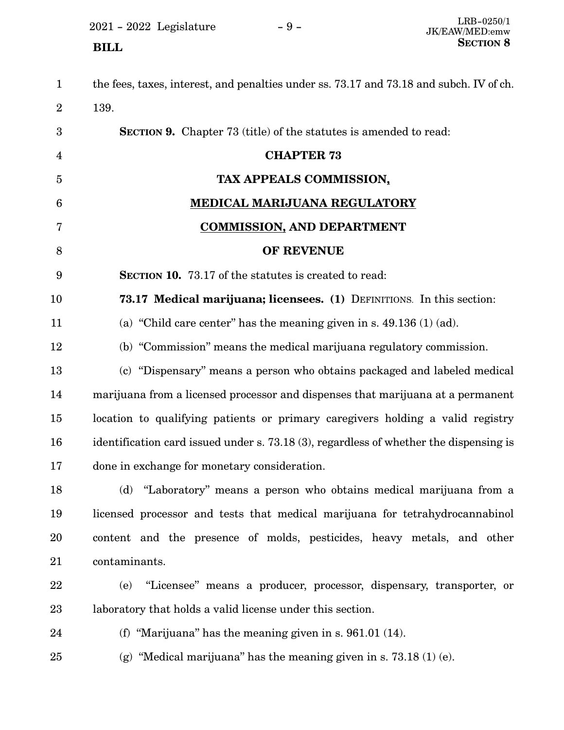2021 - 2022 Legislature - 9 -

| $\mathbf 1$    | the fees, taxes, interest, and penalties under ss. 73.17 and 73.18 and subch. IV of ch. |
|----------------|-----------------------------------------------------------------------------------------|
| $\overline{2}$ | 139.                                                                                    |
| 3              | <b>SECTION 9.</b> Chapter 73 (title) of the statutes is amended to read:                |
| 4              | <b>CHAPTER 73</b>                                                                       |
| 5              | TAX APPEALS COMMISSION,                                                                 |
| 6              | MEDICAL MARIJUANA REGULATORY                                                            |
| 7              | <b>COMMISSION, AND DEPARTMENT</b>                                                       |
| 8              | OF REVENUE                                                                              |
| 9              | <b>SECTION 10.</b> 73.17 of the statutes is created to read:                            |
| 10             | 73.17 Medical marijuana; licensees. (1) DEFINITIONS. In this section:                   |
| 11             | (a) "Child care center" has the meaning given in s. $49.136(1)$ (ad).                   |
| 12             | (b) "Commission" means the medical marijuana regulatory commission.                     |
| 13             | (c) "Dispensary" means a person who obtains packaged and labeled medical                |
| 14             | marijuana from a licensed processor and dispenses that marijuana at a permanent         |
| 15             | location to qualifying patients or primary caregivers holding a valid registry          |
| 16             | identification card issued under s. 73.18 (3), regardless of whether the dispensing is  |
| 17             | done in exchange for monetary consideration.                                            |
| 18             | "Laboratory" means a person who obtains medical marijuana from a<br>(d)                 |
| 19             | licensed processor and tests that medical marijuana for tetrahydrocannabinol            |
| 20             | content and the presence of molds, pesticides, heavy metals, and other                  |
| 21             | contaminants.                                                                           |
| 22             | "Licensee" means a producer, processor, dispensary, transporter, or<br>(e)              |
| $23\,$         | laboratory that holds a valid license under this section.                               |
| 24             | (f) "Marijuana" has the meaning given in s. $961.01$ (14).                              |
| 25             | (g) "Medical marijuana" has the meaning given in s. $73.18(1)(e)$ .                     |
|                |                                                                                         |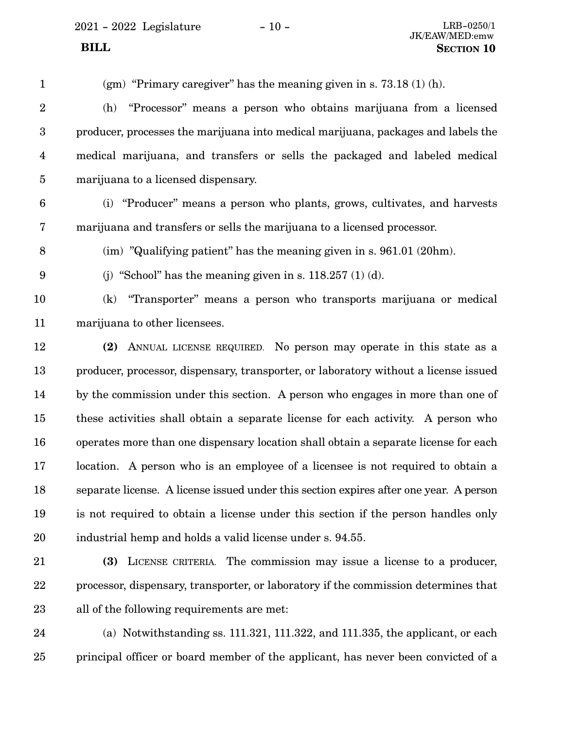(gm) "Primary caregiver" has the meaning given in s.  $73.18(1)(h)$ . (h) "Processor" means a person who obtains marijuana from a licensed producer, processes the marijuana into medical marijuana, packages and labels the medical marijuana, and transfers or sells the packaged and labeled medical marijuana to a licensed dispensary. (i) "Producer" means a person who plants, grows, cultivates, and harvests marijuana and transfers or sells the marijuana to a licensed processor. (im) "Qualifying patient" has the meaning given in s. 961.01 (20hm). (i) "School" has the meaning given in s.  $118.257$  (1) (d). (k) "Transporter" means a person who transports marijuana or medical marijuana to other licensees. **(2)** ANNUAL LICENSE REQUIRED. No person may operate in this state as a producer, processor, dispensary, transporter, or laboratory without a license issued by the commission under this section. A person who engages in more than one of these activities shall obtain a separate license for each activity. A person who operates more than one dispensary location shall obtain a separate license for each location. A person who is an employee of a licensee is not required to obtain a separate license. A license issued under this section expires after one year. A person is not required to obtain a license under this section if the person handles only industrial hemp and holds a valid license under s. 94.55. **(3)** LICENSE CRITERIA. The commission may issue a license to a producer, processor, dispensary, transporter, or laboratory if the commission determines that 1 2 3 4 5 6 7 8 9 10 11 12 13 14 15 16 17 18 19 20 21 22

23 24

(a) Notwithstanding ss.  $111.321$ ,  $111.322$ , and  $111.335$ , the applicant, or each principal officer or board member of the applicant, has never been convicted of a 25

all of the following requirements are met: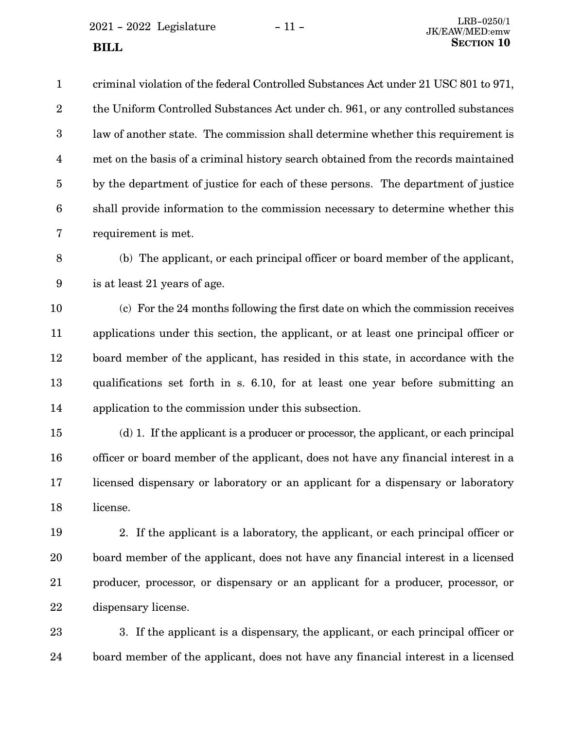$2021 - 2022$  Legislature  $-11 -$  LRB-0250/1 **SECTION** 10

is at least 21 years of age.

9

criminal violation of the federal Controlled Substances Act under 21 USC 801 to 971, the Uniform Controlled Substances Act under ch. 961, or any controlled substances law of another state. The commission shall determine whether this requirement is met on the basis of a criminal history search obtained from the records maintained by the department of justice for each of these persons. The department of justice shall provide information to the commission necessary to determine whether this requirement is met. (b) The applicant, or each principal officer or board member of the applicant, 1 2 3 4 5 6 7 8

(c) For the 24 months following the first date on which the commission receives applications under this section, the applicant, or at least one principal officer or board member of the applicant, has resided in this state, in accordance with the qualifications set forth in s. 6.10, for at least one year before submitting an application to the commission under this subsection. 10 11 12 13 14

(d) 1. If the applicant is a producer or processor, the applicant, or each principal officer or board member of the applicant, does not have any financial interest in a licensed dispensary or laboratory or an applicant for a dispensary or laboratory license. 15 16 17 18

2. If the applicant is a laboratory, the applicant, or each principal officer or board member of the applicant, does not have any financial interest in a licensed producer, processor, or dispensary or an applicant for a producer, processor, or dispensary license. 19 20 21 22

3. If the applicant is a dispensary, the applicant, or each principal officer or board member of the applicant, does not have any financial interest in a licensed 23 24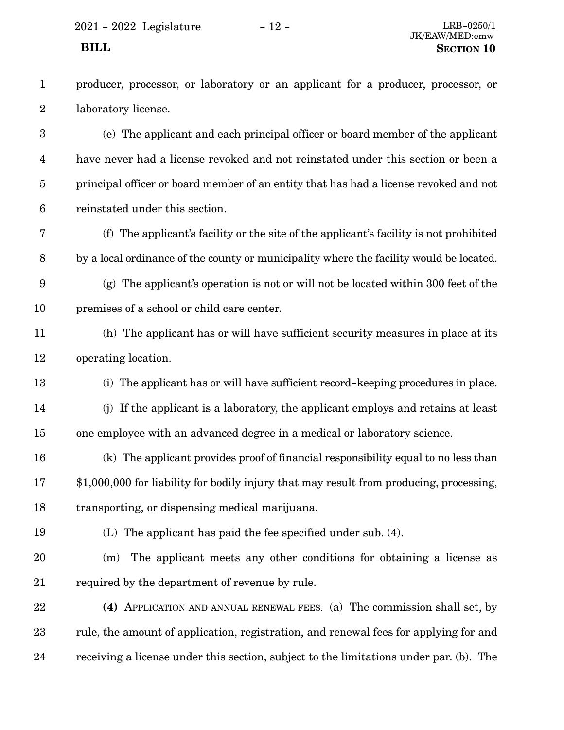producer, processor, or laboratory or an applicant for a producer, processor, or laboratory license. 1 2

(e) The applicant and each principal officer or board member of the applicant have never had a license revoked and not reinstated under this section or been a principal officer or board member of an entity that has had a license revoked and not reinstated under this section. 3 4 5 6

- (f) The applicant's facility or the site of the applicant's facility is not prohibited by a local ordinance of the county or municipality where the facility would be located. 7 8
- (g) The applicant's operation is not or will not be located within 300 feet of the premises of a school or child care center. 9 10
- (h) The applicant has or will have sufficient security measures in place at its operating location. 11 12
- (i) The applicant has or will have sufficient record-keeping procedures in place. 13
- (j) If the applicant is a laboratory, the applicant employs and retains at least one employee with an advanced degree in a medical or laboratory science. 14 15
- (k) The applicant provides proof of financial responsibility equal to no less than \$1,000,000 for liability for bodily injury that may result from producing, processing, transporting, or dispensing medical marijuana. 16 17 18
- 19

(L) The applicant has paid the fee specified under sub. (4).

- (m) The applicant meets any other conditions for obtaining a license as required by the department of revenue by rule. 20 21
- **(4)** APPLICATION AND ANNUAL RENEWAL FEES. (a) The commission shall set, by rule, the amount of application, registration, and renewal fees for applying for and receiving a license under this section, subject to the limitations under par. (b). The 22 23 24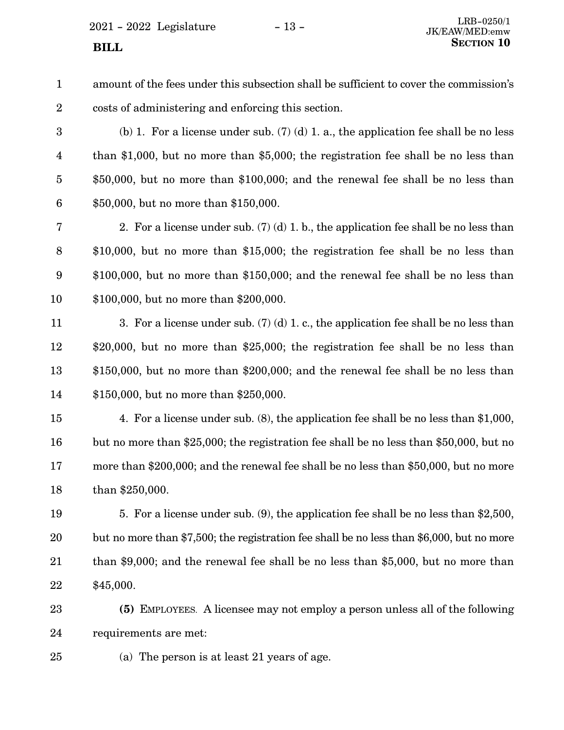$2021 - 2022$  Legislature  $-13 -$ 

amount of the fees under this subsection shall be sufficient to cover the commission's costs of administering and enforcing this section. 1 2

25

(b) 1. For a license under sub.  $(7)$  (d) 1. a., the application fee shall be no less than \$1,000, but no more than \$5,000; the registration fee shall be no less than \$50,000, but no more than \$100,000; and the renewal fee shall be no less than \$50,000, but no more than \$150,000. 3 4 5 6

2. For a license under sub. (7) (d) 1. b., the application fee shall be no less than \$10,000, but no more than \$15,000; the registration fee shall be no less than \$100,000, but no more than \$150,000; and the renewal fee shall be no less than \$100,000, but no more than \$200,000. 7 8 9 10

3. For a license under sub. (7) (d) 1. c., the application fee shall be no less than \$20,000, but no more than \$25,000; the registration fee shall be no less than \$150,000, but no more than \$200,000; and the renewal fee shall be no less than \$150,000, but no more than \$250,000. 11 12 13 14

4. For a license under sub. (8), the application fee shall be no less than \$1,000, but no more than \$25,000; the registration fee shall be no less than \$50,000, but no more than \$200,000; and the renewal fee shall be no less than \$50,000, but no more than \$250,000. 15 16 17 18

5. For a license under sub. (9), the application fee shall be no less than \$2,500, but no more than \$7,500; the registration fee shall be no less than \$6,000, but no more than \$9,000; and the renewal fee shall be no less than \$5,000, but no more than \$45,000. 19 20 21 22

**(5)** EMPLOYEES. A licensee may not employ a person unless all of the following requirements are met: 23 24

(a) The person is at least 21 years of age.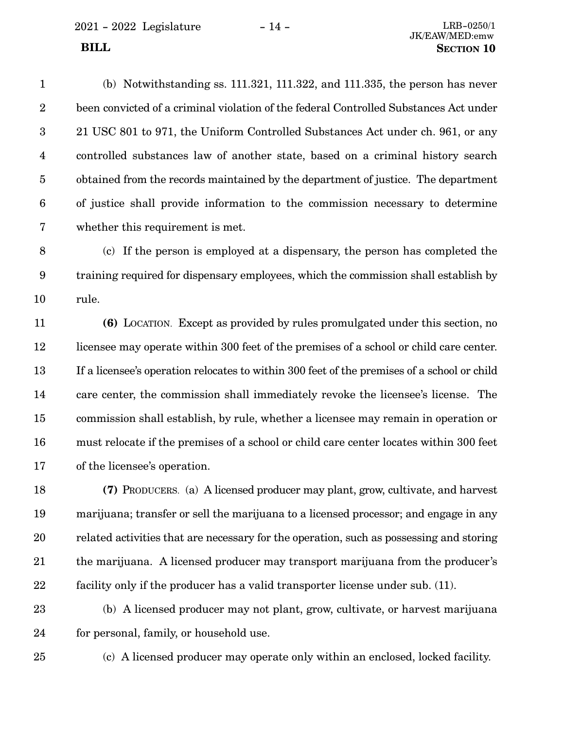2021 - 2022 Legislature - 14 - LRB-0250/1

(b) Notwithstanding ss. 111.321, 111.322, and 111.335, the person has never been convicted of a criminal violation of the federal Controlled Substances Act under 21 USC 801 to 971, the Uniform Controlled Substances Act under ch. 961, or any controlled substances law of another state, based on a criminal history search obtained from the records maintained by the department of justice. The department of justice shall provide information to the commission necessary to determine whether this requirement is met. 1 2 3 4 5 6 7

(c) If the person is employed at a dispensary, the person has completed the training required for dispensary employees, which the commission shall establish by rule. 8 9 10

**(6)** LOCATION. Except as provided by rules promulgated under this section, no licensee may operate within 300 feet of the premises of a school or child care center. If a licensee's operation relocates to within 300 feet of the premises of a school or child care center, the commission shall immediately revoke the licensee's license. The commission shall establish, by rule, whether a licensee may remain in operation or must relocate if the premises of a school or child care center locates within 300 feet of the licensee's operation. 11 12 13 14 15 16 17

**(7)** PRODUCERS. (a) A licensed producer may plant, grow, cultivate, and harvest marijuana; transfer or sell the marijuana to a licensed processor; and engage in any related activities that are necessary for the operation, such as possessing and storing the marijuana. A licensed producer may transport marijuana from the producer's facility only if the producer has a valid transporter license under sub. (11). 18 19 20 21 22

(b) A licensed producer may not plant, grow, cultivate, or harvest marijuana for personal, family, or household use. 23 24

25

(c) A licensed producer may operate only within an enclosed, locked facility.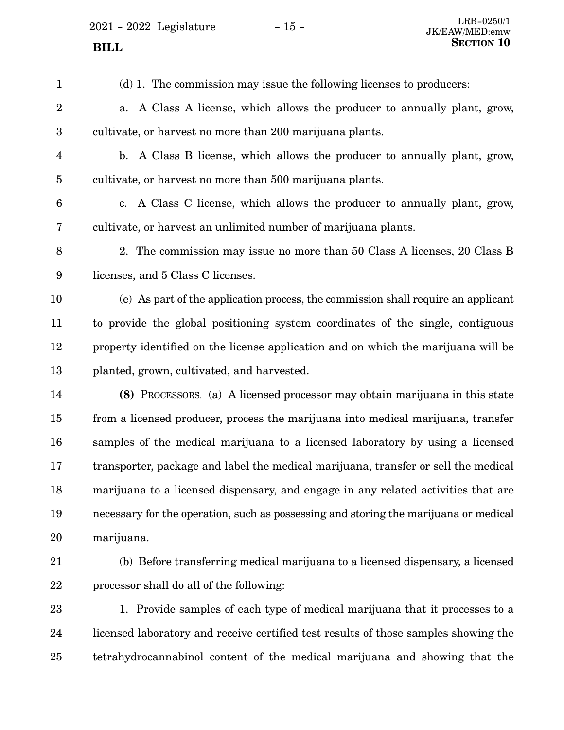$2021$  -  $2022\,$  Legislature  $\hskip 5mm -15$  -

| $\mathbf{1}$            | (d) 1. The commission may issue the following licenses to producers:                 |
|-------------------------|--------------------------------------------------------------------------------------|
| $\overline{2}$          | A Class A license, which allows the producer to annually plant, grow,<br>a.          |
| 3                       | cultivate, or harvest no more than 200 marijuana plants.                             |
| $\overline{\mathbf{4}}$ | b. A Class B license, which allows the producer to annually plant, grow,             |
| $\overline{5}$          | cultivate, or harvest no more than 500 marijuana plants.                             |
| $6\phantom{.}6$         | c. A Class C license, which allows the producer to annually plant, grow,             |
| 7                       | cultivate, or harvest an unlimited number of marijuana plants.                       |
| $8\,$                   | 2. The commission may issue no more than 50 Class A licenses, 20 Class B             |
| 9                       | licenses, and 5 Class C licenses.                                                    |
| 10                      | (e) As part of the application process, the commission shall require an applicant    |
| 11                      | to provide the global positioning system coordinates of the single, contiguous       |
| 12                      | property identified on the license application and on which the marijuana will be    |
| 13                      | planted, grown, cultivated, and harvested.                                           |
| 14                      | (8) PROCESSORS. (a) A licensed processor may obtain marijuana in this state          |
| 15                      | from a licensed producer, process the marijuana into medical marijuana, transfer     |
| 16                      | samples of the medical marijuana to a licensed laboratory by using a licensed        |
| 17                      | transporter, package and label the medical marijuana, transfer or sell the medical   |
| 18                      | marijuana to a licensed dispensary, and engage in any related activities that are    |
| 19                      | necessary for the operation, such as possessing and storing the marijuana or medical |
| 20                      | marijuana.                                                                           |
| 21                      | (b) Before transferring medical marijuana to a licensed dispensary, a licensed       |
| 22                      | processor shall do all of the following:                                             |
| 23                      | 1. Provide samples of each type of medical marijuana that it processes to a          |
| 24                      | licensed laboratory and receive certified test results of those samples showing the  |
| 25                      | tetrahydrocannabinol content of the medical marijuana and showing that the           |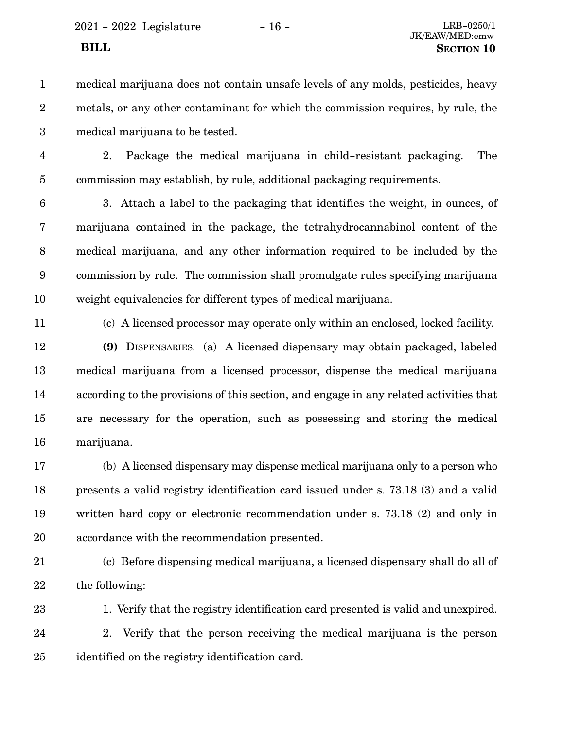- medical marijuana does not contain unsafe levels of any molds, pesticides, heavy metals, or any other contaminant for which the commission requires, by rule, the medical marijuana to be tested. 1 2 3
- 4

5

2. Package the medical marijuana in child-resistant packaging. The commission may establish, by rule, additional packaging requirements.

3. Attach a label to the packaging that identifies the weight, in ounces, of marijuana contained in the package, the tetrahydrocannabinol content of the medical marijuana, and any other information required to be included by the commission by rule. The commission shall promulgate rules specifying marijuana weight equivalencies for different types of medical marijuana. 6 7 8 9 10

11

(c) A licensed processor may operate only within an enclosed, locked facility.

**(9)** DISPENSARIES. (a) A licensed dispensary may obtain packaged, labeled medical marijuana from a licensed processor, dispense the medical marijuana according to the provisions of this section, and engage in any related activities that are necessary for the operation, such as possessing and storing the medical marijuana. 12 13 14 15 16

(b) A licensed dispensary may dispense medical marijuana only to a person who presents a valid registry identification card issued under s. 73.18 (3) and a valid written hard copy or electronic recommendation under s. 73.18 (2) and only in accordance with the recommendation presented. 17 18 19 20

21

22

(c) Before dispensing medical marijuana, a licensed dispensary shall do all of the following:

1. Verify that the registry identification card presented is valid and unexpired. 2. Verify that the person receiving the medical marijuana is the person identified on the registry identification card. 23 24 25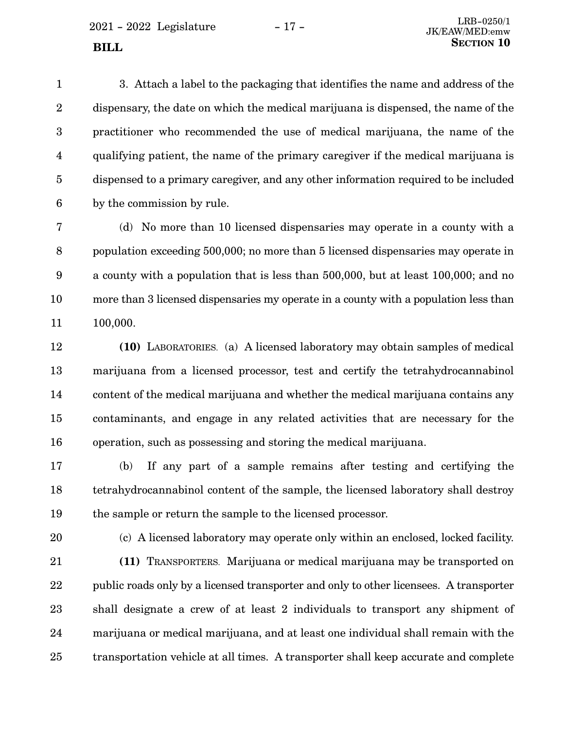$2021 - 2022$  Legislature  $-17 -$ 

3. Attach a label to the packaging that identifies the name and address of the dispensary, the date on which the medical marijuana is dispensed, the name of the practitioner who recommended the use of medical marijuana, the name of the qualifying patient, the name of the primary caregiver if the medical marijuana is dispensed to a primary caregiver, and any other information required to be included by the commission by rule. 1 2 3 4 5 6

(d) No more than 10 licensed dispensaries may operate in a county with a population exceeding 500,000; no more than 5 licensed dispensaries may operate in a county with a population that is less than 500,000, but at least 100,000; and no more than 3 licensed dispensaries my operate in a county with a population less than 100,000. 7 8 9 10 11

**(10)** LABORATORIES. (a) A licensed laboratory may obtain samples of medical marijuana from a licensed processor, test and certify the tetrahydrocannabinol content of the medical marijuana and whether the medical marijuana contains any contaminants, and engage in any related activities that are necessary for the operation, such as possessing and storing the medical marijuana. 12 13 14 15 16

(b) If any part of a sample remains after testing and certifying the tetrahydrocannabinol content of the sample, the licensed laboratory shall destroy the sample or return the sample to the licensed processor. 17 18 19

20

(c) A licensed laboratory may operate only within an enclosed, locked facility. **(11)** TRANSPORTERS. Marijuana or medical marijuana may be transported on public roads only by a licensed transporter and only to other licensees. A transporter shall designate a crew of at least 2 individuals to transport any shipment of marijuana or medical marijuana, and at least one individual shall remain with the transportation vehicle at all times. A transporter shall keep accurate and complete 21 22 23 24 25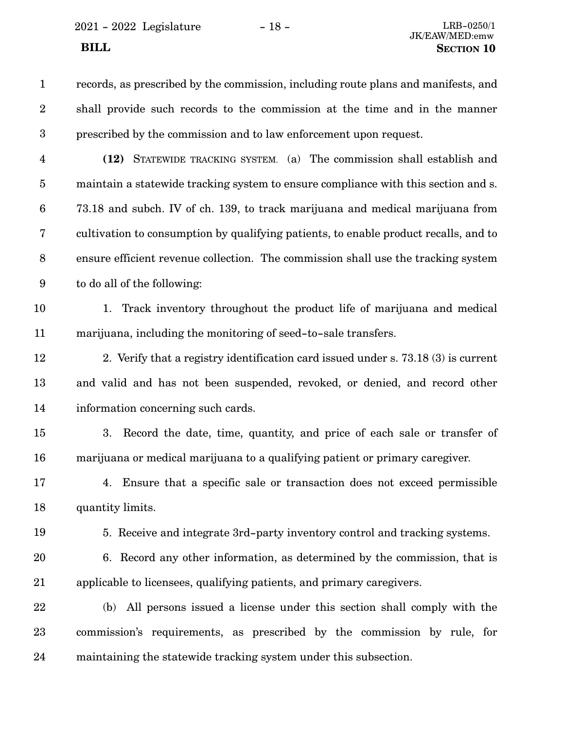2021 - 2022 Legislature - 18 - LRB-0250/1

records, as prescribed by the commission, including route plans and manifests, and shall provide such records to the commission at the time and in the manner prescribed by the commission and to law enforcement upon request. 1 2 3

**(12)** STATEWIDE TRACKING SYSTEM. (a) The commission shall establish and maintain a statewide tracking system to ensure compliance with this section and s. 73.18 and subch. IV of ch. 139, to track marijuana and medical marijuana from cultivation to consumption by qualifying patients, to enable product recalls, and to ensure efficient revenue collection. The commission shall use the tracking system to do all of the following: 4 5 6 7 8 9

10

11

1. Track inventory throughout the product life of marijuana and medical marijuana, including the monitoring of seed-to-sale transfers.

2. Verify that a registry identification card issued under s. 73.18 (3) is current and valid and has not been suspended, revoked, or denied, and record other information concerning such cards. 12 13 14

3. Record the date, time, quantity, and price of each sale or transfer of marijuana or medical marijuana to a qualifying patient or primary caregiver. 15 16

4. Ensure that a specific sale or transaction does not exceed permissible quantity limits. 17 18

19

5. Receive and integrate 3rd-party inventory control and tracking systems.

- 6. Record any other information, as determined by the commission, that is applicable to licensees, qualifying patients, and primary caregivers. 20 21
- (b) All persons issued a license under this section shall comply with the commission's requirements, as prescribed by the commission by rule, for maintaining the statewide tracking system under this subsection. 22 23 24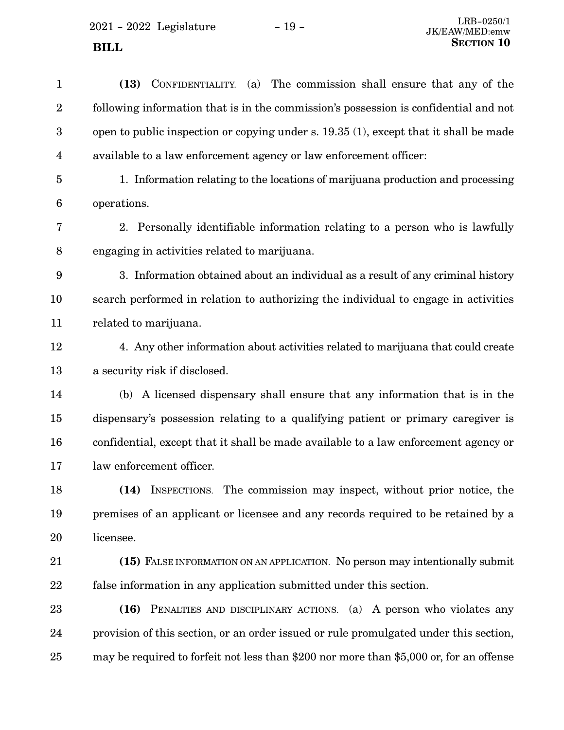| $\mathbf{1}$            | CONFIDENTIALITY. (a) The commission shall ensure that any of the<br>(13)                |
|-------------------------|-----------------------------------------------------------------------------------------|
| $\overline{2}$          | following information that is in the commission's possession is confidential and not    |
| 3                       | open to public inspection or copying under s. 19.35 (1), except that it shall be made   |
| $\overline{\mathbf{4}}$ | available to a law enforcement agency or law enforcement officer:                       |
| $\overline{5}$          | 1. Information relating to the locations of marijuana production and processing         |
| 6                       | operations.                                                                             |
| 7                       | 2. Personally identifiable information relating to a person who is lawfully             |
| 8                       | engaging in activities related to marijuana.                                            |
| 9                       | 3. Information obtained about an individual as a result of any criminal history         |
| 10                      | search performed in relation to authorizing the individual to engage in activities      |
| 11                      | related to marijuana.                                                                   |
| 12                      | 4. Any other information about activities related to marijuana that could create        |
| 13                      | a security risk if disclosed.                                                           |
| 14                      | (b) A licensed dispensary shall ensure that any information that is in the              |
| 15                      | dispensary's possession relating to a qualifying patient or primary caregiver is        |
| 16                      | confidential, except that it shall be made available to a law enforcement agency or     |
| 17                      | law enforcement officer.                                                                |
| 18                      | (14) INSPECTIONS. The commission may inspect, without prior notice, the                 |
| 19                      | premises of an applicant or licensee and any records required to be retained by a       |
| 20                      | licensee.                                                                               |
| 21                      | (15) FALSE INFORMATION ON AN APPLICATION. No person may intentionally submit            |
| 22                      | false information in any application submitted under this section.                      |
| 23                      | PENALTIES AND DISCIPLINARY ACTIONS. (a) A person who violates any<br>(16)               |
| 24                      | provision of this section, or an order issued or rule promulgated under this section,   |
| 25                      | may be required to forfeit not less than \$200 nor more than \$5,000 or, for an offense |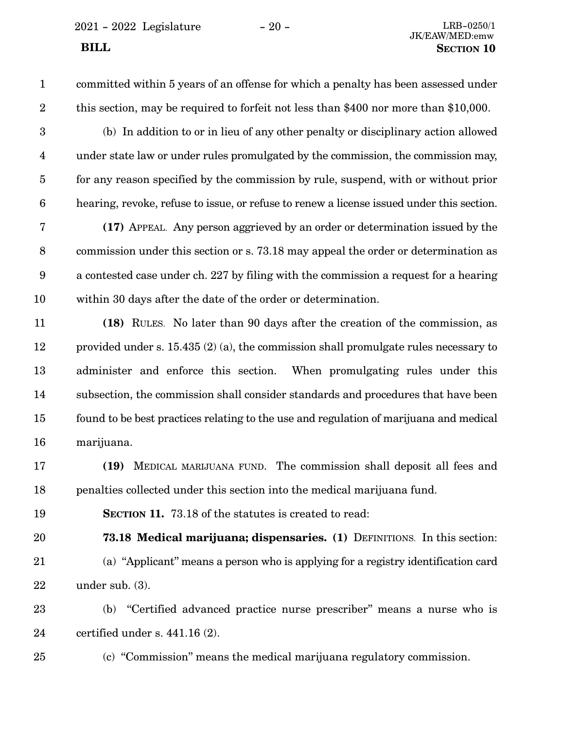committed within 5 years of an offense for which a penalty has been assessed under this section, may be required to forfeit not less than \$400 nor more than \$10,000. 1 2

(b) In addition to or in lieu of any other penalty or disciplinary action allowed under state law or under rules promulgated by the commission, the commission may, for any reason specified by the commission by rule, suspend, with or without prior hearing, revoke, refuse to issue, or refuse to renew a license issued under this section. 3 4 5 6

**(17)** APPEAL. Any person aggrieved by an order or determination issued by the commission under this section or s. 73.18 may appeal the order or determination as a contested case under ch. 227 by filing with the commission a request for a hearing within 30 days after the date of the order or determination. 7 8 9 10

**(18)** RULES. No later than 90 days after the creation of the commission, as provided under s. 15.435 (2) (a), the commission shall promulgate rules necessary to administer and enforce this section. When promulgating rules under this subsection, the commission shall consider standards and procedures that have been found to be best practices relating to the use and regulation of marijuana and medical marijuana. 11 12 13 14 15 16

- **(19)** MEDICAL MARIJUANA FUND. The commission shall deposit all fees and penalties collected under this section into the medical marijuana fund. 17 18
- 19

**SECTION 11.** 73.18 of the statutes is created to read:

**73.18 Medical marijuana; dispensaries. (1)** DEFINITIONS. In this section: (a) "Applicant" means a person who is applying for a registry identification card under sub. (3). 20 21 22

(b) "Certified advanced practice nurse prescriber" means a nurse who is certified under s. 441.16 (2). 23 24

25

(c) "Commission" means the medical marijuana regulatory commission.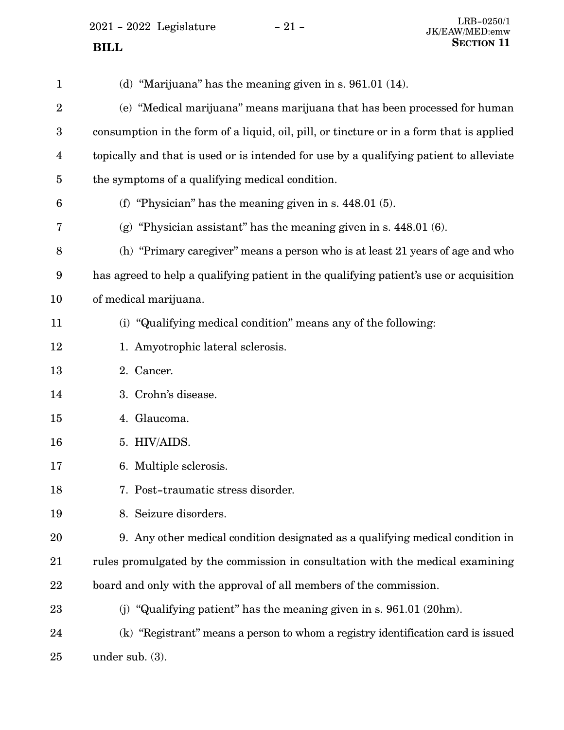2021 - 2022 Legislature - 21 -

 **BILL** 

| $\mathbf{1}$            | (d) "Marijuana" has the meaning given in s. $961.01$ (14).                               |
|-------------------------|------------------------------------------------------------------------------------------|
| $\boldsymbol{2}$        | (e) "Medical marijuana" means marijuana that has been processed for human                |
| $\boldsymbol{3}$        | consumption in the form of a liquid, oil, pill, or tincture or in a form that is applied |
| $\overline{\mathbf{4}}$ | topically and that is used or is intended for use by a qualifying patient to alleviate   |
| $\overline{5}$          | the symptoms of a qualifying medical condition.                                          |
| 6                       | (f) "Physician" has the meaning given in s. $448.01(5)$ .                                |
| 7                       | (g) "Physician assistant" has the meaning given in s. $448.01(6)$ .                      |
| 8                       | (h) "Primary caregiver" means a person who is at least 21 years of age and who           |
| 9                       | has agreed to help a qualifying patient in the qualifying patient's use or acquisition   |
| 10                      | of medical marijuana.                                                                    |
| 11                      | (i) "Qualifying medical condition" means any of the following:                           |
| 12                      | 1. Amyotrophic lateral sclerosis.                                                        |
| 13                      | 2. Cancer.                                                                               |
| 14                      | 3. Crohn's disease.                                                                      |
| 15                      | 4. Glaucoma.                                                                             |
| 16                      | 5. HIV/AIDS.                                                                             |
| 17                      | 6. Multiple sclerosis.                                                                   |
| 18                      | 7. Post-traumatic stress disorder.                                                       |
| 19                      | 8. Seizure disorders.                                                                    |
| 20                      | 9. Any other medical condition designated as a qualifying medical condition in           |
| 21                      | rules promulgated by the commission in consultation with the medical examining           |
| 22                      | board and only with the approval of all members of the commission.                       |
| 23                      | (j) "Qualifying patient" has the meaning given in $s. 961.01$ (20hm).                    |
| 24                      | (k) "Registrant" means a person to whom a registry identification card is issued         |
| 25                      | under sub. $(3)$ .                                                                       |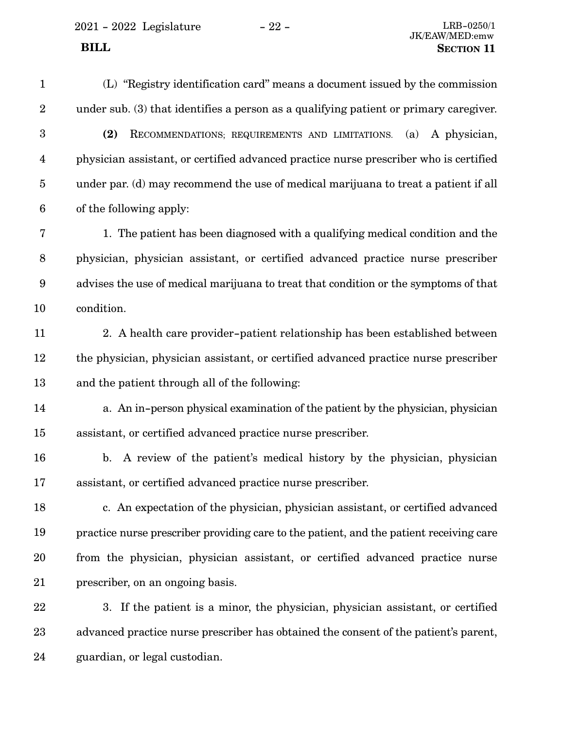2021 - 2022 Legislature - 22 - LRB-0250/1

(L) "Registry identification card" means a document issued by the commission under sub. (3) that identifies a person as a qualifying patient or primary caregiver. **(2)** RECOMMENDATIONS; REQUIREMENTS AND LIMITATIONS. (a) A physician, physician assistant, or certified advanced practice nurse prescriber who is certified under par. (d) may recommend the use of medical marijuana to treat a patient if all of the following apply: 1. The patient has been diagnosed with a qualifying medical condition and the physician, physician assistant, or certified advanced practice nurse prescriber advises the use of medical marijuana to treat that condition or the symptoms of that condition. 2. A health care provider-patient relationship has been established between the physician, physician assistant, or certified advanced practice nurse prescriber and the patient through all of the following: a. An in-person physical examination of the patient by the physician, physician assistant, or certified advanced practice nurse prescriber. b. A review of the patient's medical history by the physician, physician assistant, or certified advanced practice nurse prescriber. c. An expectation of the physician, physician assistant, or certified advanced practice nurse prescriber providing care to the patient, and the patient receiving care from the physician, physician assistant, or certified advanced practice nurse prescriber, on an ongoing basis. 3. If the patient is a minor, the physician, physician assistant, or certified advanced practice nurse prescriber has obtained the consent of the patient's parent, guardian, or legal custodian. 1 2 3 4 5 6 7 8 9 10 11 12 13 14 15 16 17 18 19 20 21 22 23 24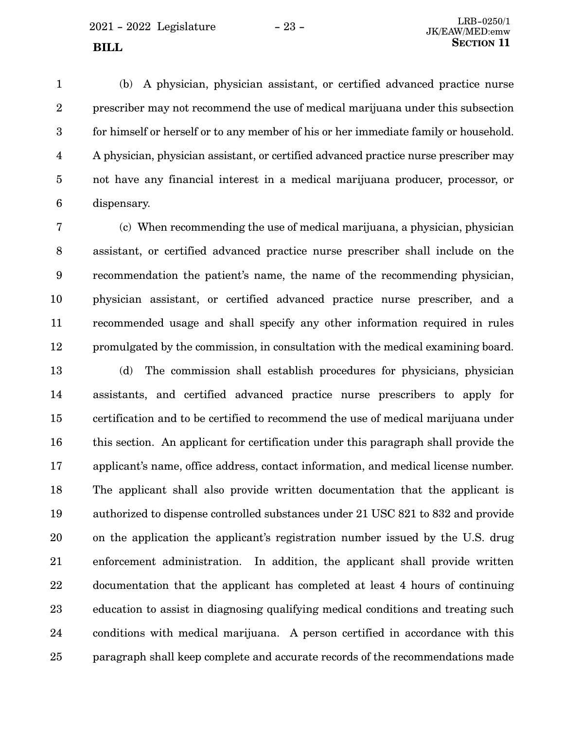(b) A physician, physician assistant, or certified advanced practice nurse prescriber may not recommend the use of medical marijuana under this subsection for himself or herself or to any member of his or her immediate family or household. A physician, physician assistant, or certified advanced practice nurse prescriber may not have any financial interest in a medical marijuana producer, processor, or dispensary. 1 2 3 4 5 6

(c) When recommending the use of medical marijuana, a physician, physician assistant, or certified advanced practice nurse prescriber shall include on the recommendation the patient's name, the name of the recommending physician, physician assistant, or certified advanced practice nurse prescriber, and a recommended usage and shall specify any other information required in rules promulgated by the commission, in consultation with the medical examining board. 7 8 9 10 11 12

(d) The commission shall establish procedures for physicians, physician assistants, and certified advanced practice nurse prescribers to apply for certification and to be certified to recommend the use of medical marijuana under this section. An applicant for certification under this paragraph shall provide the applicant's name, office address, contact information, and medical license number. The applicant shall also provide written documentation that the applicant is authorized to dispense controlled substances under 21 USC 821 to 832 and provide on the application the applicant's registration number issued by the U.S. drug enforcement administration. In addition, the applicant shall provide written documentation that the applicant has completed at least 4 hours of continuing education to assist in diagnosing qualifying medical conditions and treating such conditions with medical marijuana. A person certified in accordance with this paragraph shall keep complete and accurate records of the recommendations made 13 14 15 16 17 18 19 20 21 22 23 24 25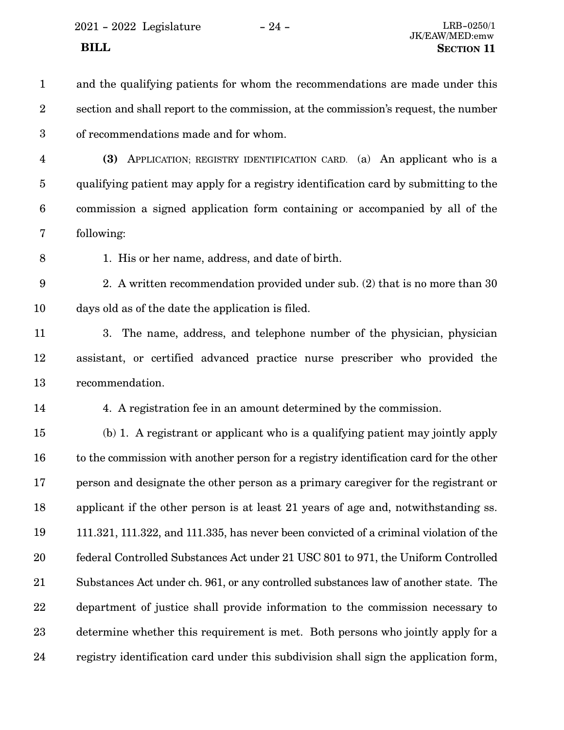$2021$  -  $2022\,$  Legislature  $\hskip 5mm -24$  -

| $\mathbf{1}$     | and the qualifying patients for whom the recommendations are made under this           |
|------------------|----------------------------------------------------------------------------------------|
| $\boldsymbol{2}$ | section and shall report to the commission, at the commission's request, the number    |
| $\boldsymbol{3}$ | of recommendations made and for whom.                                                  |
| $\overline{4}$   | APPLICATION; REGISTRY IDENTIFICATION CARD. (a) An applicant who is a<br>(3)            |
| $\overline{5}$   | qualifying patient may apply for a registry identification card by submitting to the   |
| $\boldsymbol{6}$ | commission a signed application form containing or accompanied by all of the           |
| 7                | following:                                                                             |
| 8                | 1. His or her name, address, and date of birth.                                        |
| 9                | 2. A written recommendation provided under sub. (2) that is no more than 30            |
| 10               | days old as of the date the application is filed.                                      |
| 11               | 3. The name, address, and telephone number of the physician, physician                 |
| 12               | assistant, or certified advanced practice nurse prescriber who provided the            |
| 13               | recommendation.                                                                        |
| 14               | 4. A registration fee in an amount determined by the commission.                       |
| 15               | (b) 1. A registrant or applicant who is a qualifying patient may jointly apply         |
| 16               | to the commission with another person for a registry identification card for the other |
| 17               | person and designate the other person as a primary caregiver for the registrant or     |
| 18               | applicant if the other person is at least 21 years of age and, not with standing ss.   |
| 19               | 111.321, 111.322, and 111.335, has never been convicted of a criminal violation of the |
| 20               | federal Controlled Substances Act under 21 USC 801 to 971, the Uniform Controlled      |
| 21               | Substances Act under ch. 961, or any controlled substances law of another state. The   |
| 22               | department of justice shall provide information to the commission necessary to         |
| 23               | determine whether this requirement is met. Both persons who jointly apply for a        |
| 24               | registry identification card under this subdivision shall sign the application form,   |
|                  |                                                                                        |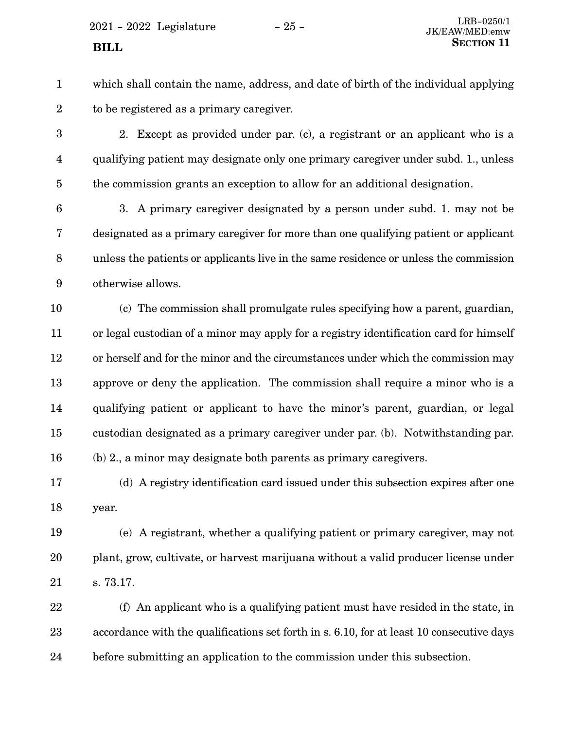$2021 - 2022$  Legislature  $-25 -$  LRB-0250/1

#### **BILL**

- which shall contain the name, address, and date of birth of the individual applying to be registered as a primary caregiver. 1 2
- 2. Except as provided under par. (c), a registrant or an applicant who is a qualifying patient may designate only one primary caregiver under subd. 1., unless the commission grants an exception to allow for an additional designation. 3 4 5
- 3. A primary caregiver designated by a person under subd. 1. may not be designated as a primary caregiver for more than one qualifying patient or applicant unless the patients or applicants live in the same residence or unless the commission otherwise allows. 6 7 8 9
- (c) The commission shall promulgate rules specifying how a parent, guardian, or legal custodian of a minor may apply for a registry identification card for himself or herself and for the minor and the circumstances under which the commission may approve or deny the application. The commission shall require a minor who is a qualifying patient or applicant to have the minor's parent, guardian, or legal custodian designated as a primary caregiver under par. (b). Notwithstanding par. (b) 2., a minor may designate both parents as primary caregivers. 10 11 12 13 14 15 16
- (d) A registry identification card issued under this subsection expires after one year. 17 18
- (e) A registrant, whether a qualifying patient or primary caregiver, may not plant, grow, cultivate, or harvest marijuana without a valid producer license under s. 73.17. 19 20 21
- (f) An applicant who is a qualifying patient must have resided in the state, in accordance with the qualifications set forth in s. 6.10, for at least 10 consecutive days before submitting an application to the commission under this subsection. 22 23 24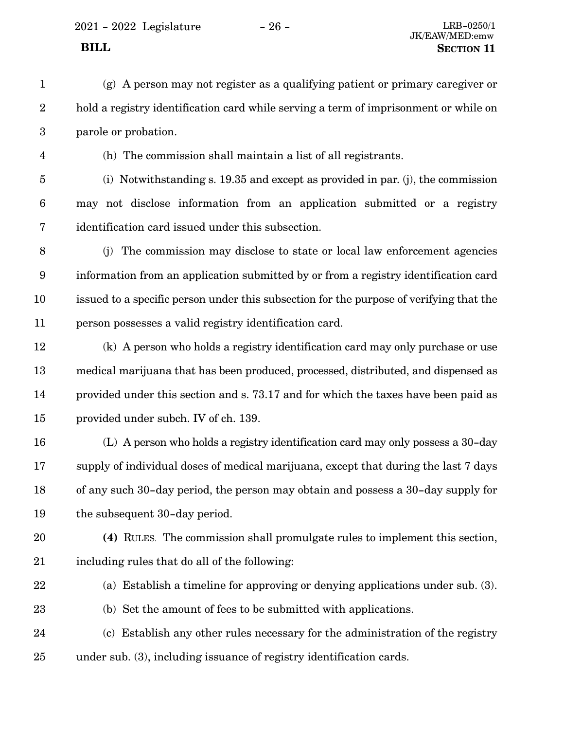2021 - 2022 Legislature - 26 - LRB-0250/1

(g) A person may not register as a qualifying patient or primary caregiver or hold a registry identification card while serving a term of imprisonment or while on parole or probation. 1 2 3

4

(h) The commission shall maintain a list of all registrants.

(i) Notwithstanding s. 19.35 and except as provided in par. (j), the commission may not disclose information from an application submitted or a registry identification card issued under this subsection. 5 6 7

- (j) The commission may disclose to state or local law enforcement agencies information from an application submitted by or from a registry identification card issued to a specific person under this subsection for the purpose of verifying that the person possesses a valid registry identification card. 8 9 10 11
- (k) A person who holds a registry identification card may only purchase or use medical marijuana that has been produced, processed, distributed, and dispensed as provided under this section and s. 73.17 and for which the taxes have been paid as provided under subch. IV of ch. 139. 12 13 14 15
- (L) A person who holds a registry identification card may only possess a 30-day supply of individual doses of medical marijuana, except that during the last 7 days of any such 30-day period, the person may obtain and possess a 30-day supply for the subsequent 30-day period. 16 17 18 19
- 20

**(4)** RULES. The commission shall promulgate rules to implement this section, including rules that do all of the following: 21

22

23

(a) Establish a timeline for approving or denying applications under sub. (3).

- (b) Set the amount of fees to be submitted with applications.
- (c) Establish any other rules necessary for the administration of the registry under sub. (3), including issuance of registry identification cards. 24 25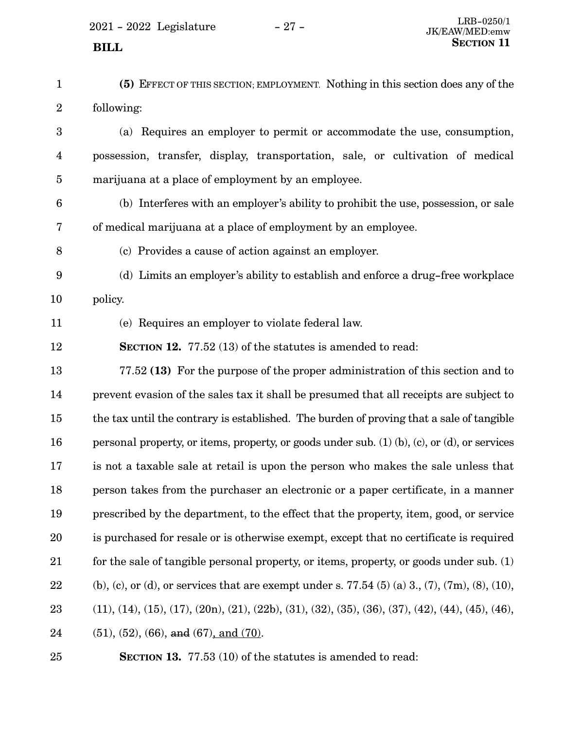- **(5)** EFFECT OF THIS SECTION; EMPLOYMENT. Nothing in this section does any of the following: (a) Requires an employer to permit or accommodate the use, consumption, possession, transfer, display, transportation, sale, or cultivation of medical marijuana at a place of employment by an employee. (b) Interferes with an employer's ability to prohibit the use, possession, or sale of medical marijuana at a place of employment by an employee. (c) Provides a cause of action against an employer. (d) Limits an employer's ability to establish and enforce a drug-free workplace policy. (e) Requires an employer to violate federal law. **SECTION 12.** 77.52 (13) of the statutes is amended to read: 77.52 **(13)** For the purpose of the proper administration of this section and to prevent evasion of the sales tax it shall be presumed that all receipts are subject to the tax until the contrary is established. The burden of proving that a sale of tangible personal property, or items, property, or goods under sub. (1) (b), (c), or (d), or services is not a taxable sale at retail is upon the person who makes the sale unless that person takes from the purchaser an electronic or a paper certificate, in a manner prescribed by the department, to the effect that the property, item, good, or service is purchased for resale or is otherwise exempt, except that no certificate is required for the sale of tangible personal property, or items, property, or goods under sub. (1) (b), (c), or (d), or services that are exempt under s. 77.54 (5) (a) 3, (7), (7m), (8), (10),  $(11), (14), (15), (17), (20n), (21), (22b), (31), (32), (35), (36), (37), (42), (44), (45), (46),$  $(51), (52), (66),$  and  $(67),$  and  $(70).$ 1 2 3 4 5 6 7 8 9 10 11 12 13 14 15 16 17 18 19 20 21 22 23 24
- 25

**SECTION 13.** 77.53 (10) of the statutes is amended to read: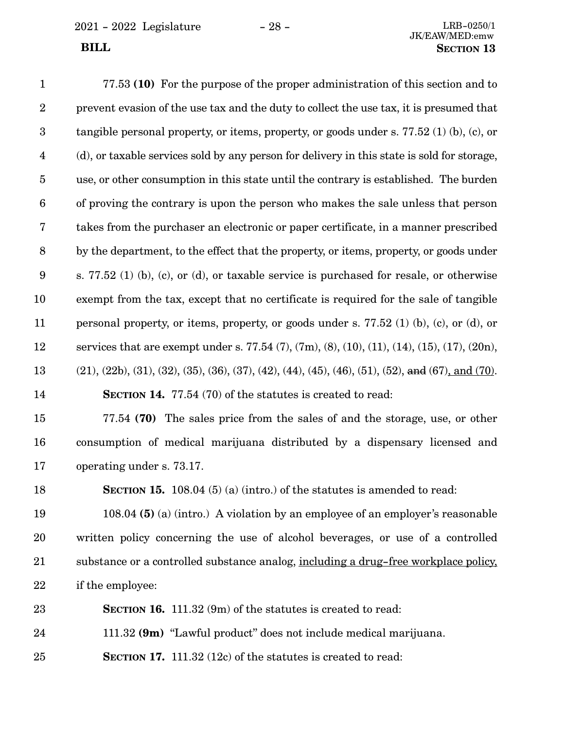2021 - 2022 Legislature - 28 - LRB-0250/1

77.53 **(10)** For the purpose of the proper administration of this section and to prevent evasion of the use tax and the duty to collect the use tax, it is presumed that tangible personal property, or items, property, or goods under s. 77.52 (1) (b), (c), or (d), or taxable services sold by any person for delivery in this state is sold for storage, use, or other consumption in this state until the contrary is established. The burden of proving the contrary is upon the person who makes the sale unless that person takes from the purchaser an electronic or paper certificate, in a manner prescribed by the department, to the effect that the property, or items, property, or goods under s. 77.52 (1) (b), (c), or (d), or taxable service is purchased for resale, or otherwise exempt from the tax, except that no certificate is required for the sale of tangible personal property, or items, property, or goods under s. 77.52 (1) (b), (c), or (d), or services that are exempt under s. 77.54 (7), (7m), (8), (10), (11), (14), (15), (17), (20n),  $(21), (22b), (31), (32), (35), (36), (37), (42), (44), (45), (46), (51), (52), and (67), and (70).$ **SECTION 14.** 77.54 (70) of the statutes is created to read: 77.54 **(70)** The sales price from the sales of and the storage, use, or other consumption of medical marijuana distributed by a dispensary licensed and operating under s. 73.17. **SECTION 15.** 108.04 (5) (a) (intro.) of the statutes is amended to read: 108.04 **(5)** (a) (intro.) A violation by an employee of an employer's reasonable written policy concerning the use of alcohol beverages, or use of a controlled substance or a controlled substance analog, including a drug-free workplace policy, if the employee: **SECTION 16.** 111.32 (9m) of the statutes is created to read: 111.32 **(9m)** "Lawful product" does not include medical marijuana. **SECTION 17.** 111.32 (12c) of the statutes is created to read: 1 2 3 4 5 6 7 8 9 10 11 12 13 14 15 16 17 18 19 20 21 22 23 24 25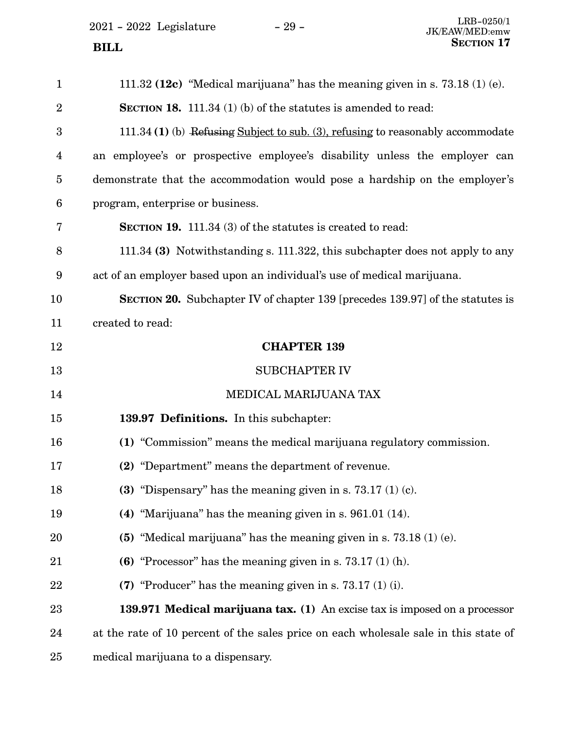$2021$  -  $2022\,$  Legislature  $\hskip 5mm -29$  -

| $\mathbf 1$    | 111.32 (12c) "Medical marijuana" has the meaning given in s. $73.18(1)(e)$ .         |
|----------------|--------------------------------------------------------------------------------------|
| $\overline{2}$ | <b>SECTION 18.</b> 111.34 (1) (b) of the statutes is amended to read:                |
| 3              | 111.34 (1) (b) Refusing Subject to sub. (3), refusing to reasonably accommodate      |
| 4              | an employee's or prospective employee's disability unless the employer can           |
| 5              | demonstrate that the accommodation would pose a hardship on the employer's           |
| 6              | program, enterprise or business.                                                     |
| 7              | <b>SECTION 19.</b> 111.34 (3) of the statutes is created to read:                    |
| 8              | 111.34 (3) Notwithstanding s. 111.322, this subchapter does not apply to any         |
| 9              | act of an employer based upon an individual's use of medical marijuana.              |
| 10             | <b>SECTION 20.</b> Subchapter IV of chapter 139 [precedes 139.97] of the statutes is |
| 11             | created to read:                                                                     |
| 12             | <b>CHAPTER 139</b>                                                                   |
| 13             | <b>SUBCHAPTER IV</b>                                                                 |
| 14             | MEDICAL MARIJUANA TAX                                                                |
| 15             | 139.97 Definitions. In this subchapter:                                              |
| 16             | (1) "Commission" means the medical marijuana regulatory commission.                  |
| 17             | (2) "Department" means the department of revenue.                                    |
| 18             | (3) "Dispensary" has the meaning given in s. $73.17(1)(c)$ .                         |
| 19             | (4) "Marijuana" has the meaning given in s. $961.01$ (14).                           |
| 20             | (5) "Medical marijuana" has the meaning given in s. $73.18(1)(e)$ .                  |
| 21             | (6) "Processor" has the meaning given in s. $73.17(1)(h)$ .                          |
| 22             | (7) "Producer" has the meaning given in s. $73.17(1)(i)$ .                           |
| 23             | 139.971 Medical marijuana tax. (1) An excise tax is imposed on a processor           |
| 24             | at the rate of 10 percent of the sales price on each wholesale sale in this state of |
| 25             | medical marijuana to a dispensary.                                                   |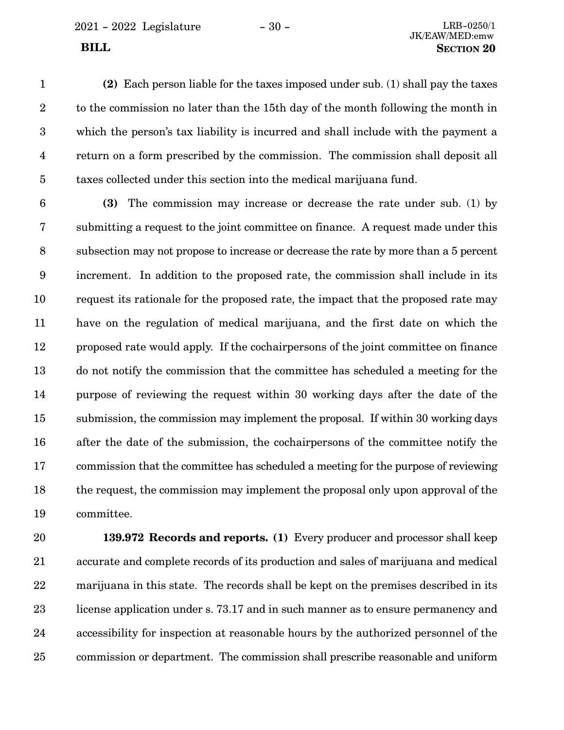2021 - 2022 Legislature - 30 - LRB-0250/1

**(2)** Each person liable for the taxes imposed under sub. (1) shall pay the taxes to the commission no later than the 15th day of the month following the month in which the person's tax liability is incurred and shall include with the payment a return on a form prescribed by the commission. The commission shall deposit all taxes collected under this section into the medical marijuana fund. 1 2 3 4 5

**(3)** The commission may increase or decrease the rate under sub. (1) by submitting a request to the joint committee on finance. A request made under this subsection may not propose to increase or decrease the rate by more than a 5 percent increment. In addition to the proposed rate, the commission shall include in its request its rationale for the proposed rate, the impact that the proposed rate may have on the regulation of medical marijuana, and the first date on which the proposed rate would apply. If the cochairpersons of the joint committee on finance do not notify the commission that the committee has scheduled a meeting for the purpose of reviewing the request within 30 working days after the date of the submission, the commission may implement the proposal. If within 30 working days after the date of the submission, the cochairpersons of the committee notify the commission that the committee has scheduled a meeting for the purpose of reviewing the request, the commission may implement the proposal only upon approval of the committee. 6 7 8 9 10 11 12 13 14 15 16 17 18 19

**139.972 Records and reports. (1)** Every producer and processor shall keep accurate and complete records of its production and sales of marijuana and medical marijuana in this state. The records shall be kept on the premises described in its license application under s. 73.17 and in such manner as to ensure permanency and accessibility for inspection at reasonable hours by the authorized personnel of the commission or department. The commission shall prescribe reasonable and uniform 20 21 22 23 24 25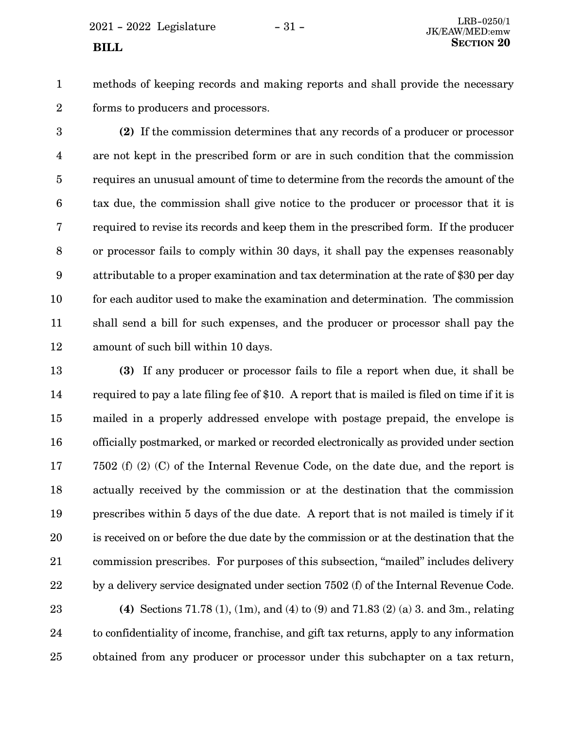$2021 - 2022$  Legislature  $-31 -$ 

1 2

methods of keeping records and making reports and shall provide the necessary forms to producers and processors.

**(2)** If the commission determines that any records of a producer or processor are not kept in the prescribed form or are in such condition that the commission requires an unusual amount of time to determine from the records the amount of the tax due, the commission shall give notice to the producer or processor that it is required to revise its records and keep them in the prescribed form. If the producer or processor fails to comply within 30 days, it shall pay the expenses reasonably attributable to a proper examination and tax determination at the rate of \$30 per day for each auditor used to make the examination and determination. The commission shall send a bill for such expenses, and the producer or processor shall pay the amount of such bill within 10 days. 3 4 5 6 7 8 9 10 11 12

**(3)** If any producer or processor fails to file a report when due, it shall be required to pay a late filing fee of \$10. A report that is mailed is filed on time if it is mailed in a properly addressed envelope with postage prepaid, the envelope is officially postmarked, or marked or recorded electronically as provided under section 7502 (f) (2) (C) of the Internal Revenue Code, on the date due, and the report is actually received by the commission or at the destination that the commission prescribes within 5 days of the due date. A report that is not mailed is timely if it is received on or before the due date by the commission or at the destination that the commission prescribes. For purposes of this subsection, "mailed" includes delivery by a delivery service designated under section 7502 (f) of the Internal Revenue Code. 13 14 15 16 17 18 19 20 21 22

**(4)** Sections 71.78 (1), (1m), and (4) to (9) and 71.83 (2) (a) 3. and 3m., relating to confidentiality of income, franchise, and gift tax returns, apply to any information obtained from any producer or processor under this subchapter on a tax return, 23 24 25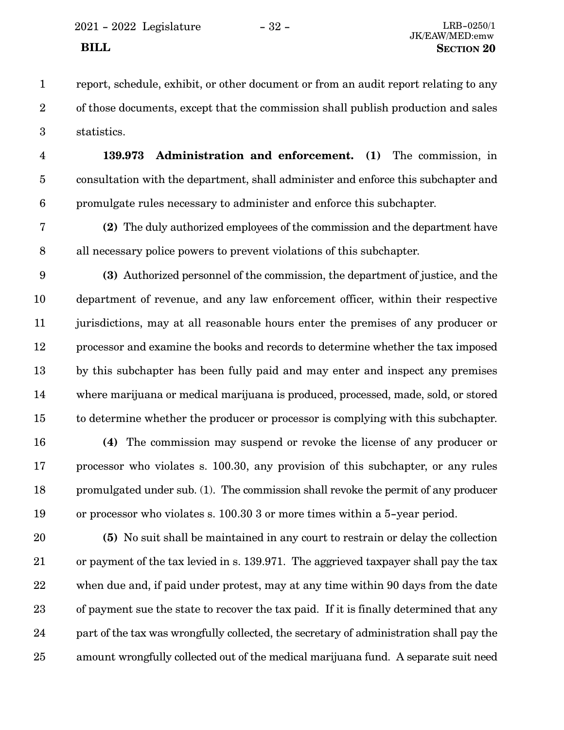report, schedule, exhibit, or other document or from an audit report relating to any of those documents, except that the commission shall publish production and sales statistics. 1 2 3

**139.973 Administration and enforcement. (1)** The commission, in consultation with the department, shall administer and enforce this subchapter and promulgate rules necessary to administer and enforce this subchapter. 4 5 6

**(2)** The duly authorized employees of the commission and the department have all necessary police powers to prevent violations of this subchapter. 7 8

**(3)** Authorized personnel of the commission, the department of justice, and the department of revenue, and any law enforcement officer, within their respective jurisdictions, may at all reasonable hours enter the premises of any producer or processor and examine the books and records to determine whether the tax imposed by this subchapter has been fully paid and may enter and inspect any premises where marijuana or medical marijuana is produced, processed, made, sold, or stored to determine whether the producer or processor is complying with this subchapter. 9 10 11 12 13 14 15

**(4)** The commission may suspend or revoke the license of any producer or processor who violates s. 100.30, any provision of this subchapter, or any rules promulgated under sub. (1). The commission shall revoke the permit of any producer or processor who violates s. 100.30 3 or more times within a 5-year period. 16 17 18 19

**(5)** No suit shall be maintained in any court to restrain or delay the collection or payment of the tax levied in s. 139.971. The aggrieved taxpayer shall pay the tax when due and, if paid under protest, may at any time within 90 days from the date of payment sue the state to recover the tax paid. If it is finally determined that any part of the tax was wrongfully collected, the secretary of administration shall pay the amount wrongfully collected out of the medical marijuana fund. A separate suit need 20 21 22 23 24 25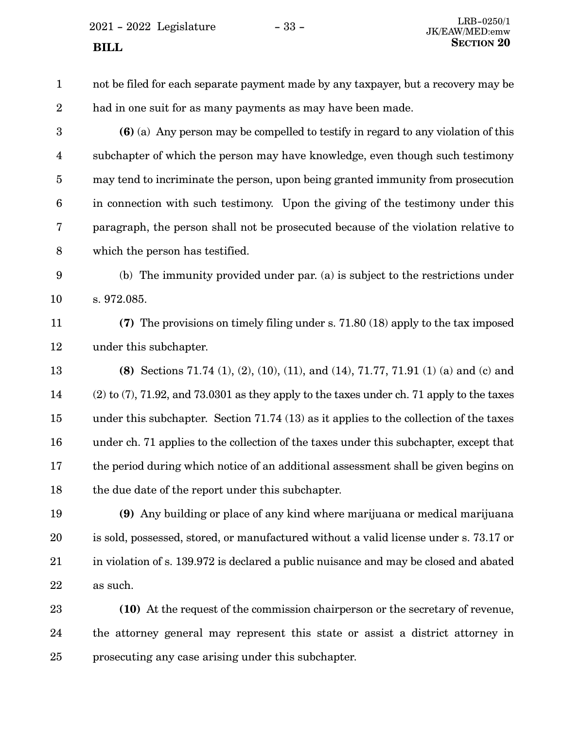- not be filed for each separate payment made by any taxpayer, but a recovery may be had in one suit for as many payments as may have been made. **(6)** (a) Any person may be compelled to testify in regard to any violation of this subchapter of which the person may have knowledge, even though such testimony may tend to incriminate the person, upon being granted immunity from prosecution in connection with such testimony. Upon the giving of the testimony under this paragraph, the person shall not be prosecuted because of the violation relative to which the person has testified. (b) The immunity provided under par. (a) is subject to the restrictions under s. 972.085. **(7)** The provisions on timely filing under s. 71.80 (18) apply to the tax imposed under this subchapter. **(8)** Sections 71.74 (1), (2), (10), (11), and (14), 71.77, 71.91 (1) (a) and (c) and (2) to (7), 71.92, and 73.0301 as they apply to the taxes under ch. 71 apply to the taxes under this subchapter. Section 71.74 (13) as it applies to the collection of the taxes under ch. 71 applies to the collection of the taxes under this subchapter, except that the period during which notice of an additional assessment shall be given begins on the due date of the report under this subchapter. **(9)** Any building or place of any kind where marijuana or medical marijuana 1 2 3 4 5 6 7 8 9 10 11 12 13 14 15 16 17 18 19
- is sold, possessed, stored, or manufactured without a valid license under s. 73.17 or in violation of s. 139.972 is declared a public nuisance and may be closed and abated as such. 20 21 22
- **(10)** At the request of the commission chairperson or the secretary of revenue, the attorney general may represent this state or assist a district attorney in prosecuting any case arising under this subchapter. 23 24 25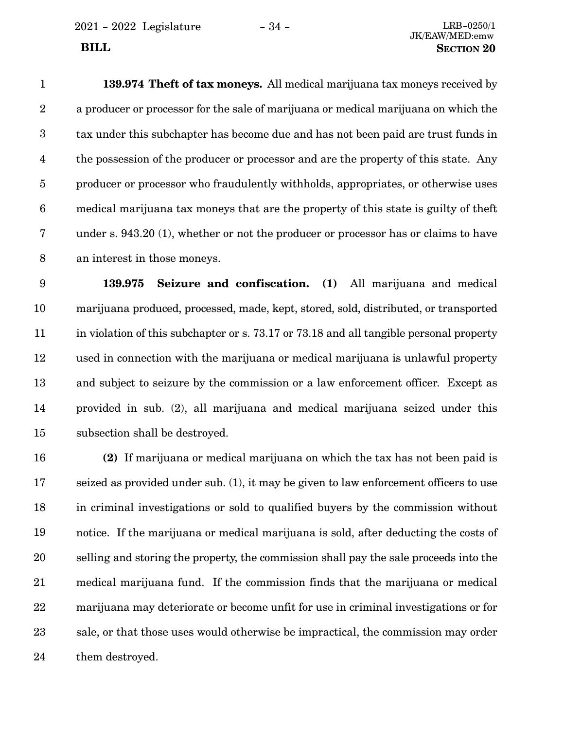2021 - 2022 Legislature - 34 - LRB-0250/1

## JK/EAW/MED:emw **BILL** SECTION 20

**139.974 Theft of tax moneys.** All medical marijuana tax moneys received by a producer or processor for the sale of marijuana or medical marijuana on which the tax under this subchapter has become due and has not been paid are trust funds in the possession of the producer or processor and are the property of this state. Any producer or processor who fraudulently withholds, appropriates, or otherwise uses medical marijuana tax moneys that are the property of this state is guilty of theft under s. 943.20 (1), whether or not the producer or processor has or claims to have an interest in those moneys. 1 2 3 4 5 6 7 8

**139.975 Seizure and confiscation. (1)** All marijuana and medical marijuana produced, processed, made, kept, stored, sold, distributed, or transported in violation of this subchapter or s. 73.17 or 73.18 and all tangible personal property used in connection with the marijuana or medical marijuana is unlawful property and subject to seizure by the commission or a law enforcement officer. Except as provided in sub. (2), all marijuana and medical marijuana seized under this subsection shall be destroyed. 9 10 11 12 13 14 15

**(2)** If marijuana or medical marijuana on which the tax has not been paid is seized as provided under sub. (1), it may be given to law enforcement officers to use in criminal investigations or sold to qualified buyers by the commission without notice. If the marijuana or medical marijuana is sold, after deducting the costs of selling and storing the property, the commission shall pay the sale proceeds into the medical marijuana fund. If the commission finds that the marijuana or medical marijuana may deteriorate or become unfit for use in criminal investigations or for sale, or that those uses would otherwise be impractical, the commission may order them destroyed. 16 17 18 19 20 21 22 23 24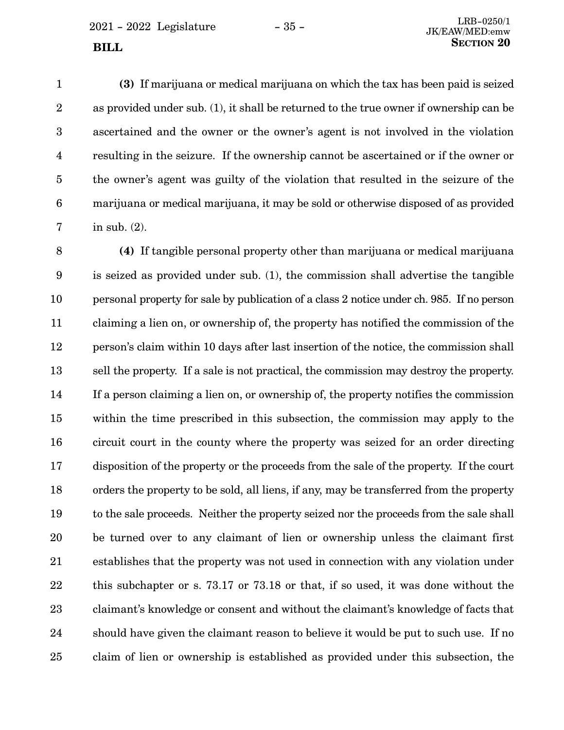**(3)** If marijuana or medical marijuana on which the tax has been paid is seized as provided under sub. (1), it shall be returned to the true owner if ownership can be ascertained and the owner or the owner's agent is not involved in the violation resulting in the seizure. If the ownership cannot be ascertained or if the owner or the owner's agent was guilty of the violation that resulted in the seizure of the marijuana or medical marijuana, it may be sold or otherwise disposed of as provided in sub. (2). 1 2 3 4 5 6 7

**(4)** If tangible personal property other than marijuana or medical marijuana is seized as provided under sub. (1), the commission shall advertise the tangible personal property for sale by publication of a class 2 notice under ch. 985. If no person claiming a lien on, or ownership of, the property has notified the commission of the person's claim within 10 days after last insertion of the notice, the commission shall sell the property. If a sale is not practical, the commission may destroy the property. If a person claiming a lien on, or ownership of, the property notifies the commission within the time prescribed in this subsection, the commission may apply to the circuit court in the county where the property was seized for an order directing disposition of the property or the proceeds from the sale of the property. If the court orders the property to be sold, all liens, if any, may be transferred from the property to the sale proceeds. Neither the property seized nor the proceeds from the sale shall be turned over to any claimant of lien or ownership unless the claimant first establishes that the property was not used in connection with any violation under this subchapter or s. 73.17 or 73.18 or that, if so used, it was done without the claimant's knowledge or consent and without the claimant's knowledge of facts that should have given the claimant reason to believe it would be put to such use. If no claim of lien or ownership is established as provided under this subsection, the 8 9 10 11 12 13 14 15 16 17 18 19 20 21 22 23 24 25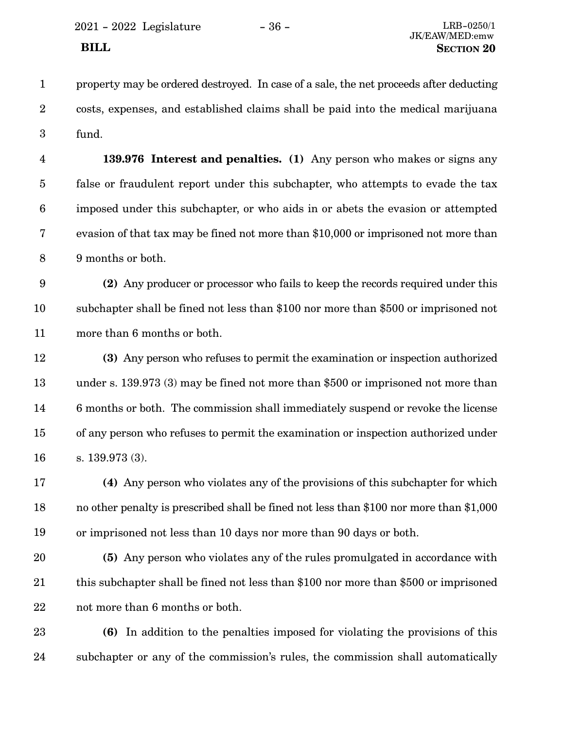2021 - 2022 Legislature - 36 - LRB-0250/1

property may be ordered destroyed. In case of a sale, the net proceeds after deducting costs, expenses, and established claims shall be paid into the medical marijuana fund. 1 2 3

**139.976 Interest and penalties. (1)** Any person who makes or signs any false or fraudulent report under this subchapter, who attempts to evade the tax imposed under this subchapter, or who aids in or abets the evasion or attempted evasion of that tax may be fined not more than \$10,000 or imprisoned not more than 9 months or both. 4 5 6 7 8

**(2)** Any producer or processor who fails to keep the records required under this subchapter shall be fined not less than \$100 nor more than \$500 or imprisoned not more than 6 months or both. 9 10 11

**(3)** Any person who refuses to permit the examination or inspection authorized under s. 139.973 (3) may be fined not more than \$500 or imprisoned not more than 6 months or both. The commission shall immediately suspend or revoke the license of any person who refuses to permit the examination or inspection authorized under s. 139.973 (3). 12 13 14 15 16

**(4)** Any person who violates any of the provisions of this subchapter for which no other penalty is prescribed shall be fined not less than \$100 nor more than \$1,000 or imprisoned not less than 10 days nor more than 90 days or both. 17 18 19

**(5)** Any person who violates any of the rules promulgated in accordance with this subchapter shall be fined not less than \$100 nor more than \$500 or imprisoned not more than 6 months or both. 20 21 22

**(6)** In addition to the penalties imposed for violating the provisions of this subchapter or any of the commission's rules, the commission shall automatically 23 24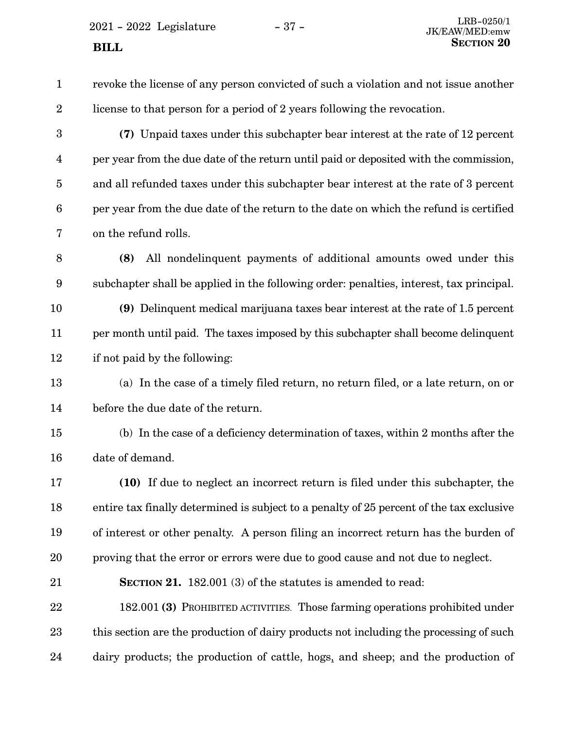$2021 - 2022$  Legislature  $- 37 -$ **SECTION** 20

revoke the license of any person convicted of such a violation and not issue another license to that person for a period of 2 years following the revocation. **(7)** Unpaid taxes under this subchapter bear interest at the rate of 12 percent per year from the due date of the return until paid or deposited with the commission, and all refunded taxes under this subchapter bear interest at the rate of 3 percent per year from the due date of the return to the date on which the refund is certified on the refund rolls. **(8)** All nondelinquent payments of additional amounts owed under this subchapter shall be applied in the following order: penalties, interest, tax principal. **(9)** Delinquent medical marijuana taxes bear interest at the rate of 1.5 percent per month until paid. The taxes imposed by this subchapter shall become delinquent if not paid by the following: (a) In the case of a timely filed return, no return filed, or a late return, on or before the due date of the return. (b) In the case of a deficiency determination of taxes, within 2 months after the date of demand. **(10)** If due to neglect an incorrect return is filed under this subchapter, the entire tax finally determined is subject to a penalty of 25 percent of the tax exclusive of interest or other penalty. A person filing an incorrect return has the burden of proving that the error or errors were due to good cause and not due to neglect. **SECTION 21.** 182.001 (3) of the statutes is amended to read: 182.001 **(3)** PROHIBITED ACTIVITIES. Those farming operations prohibited under this section are the production of dairy products not including the processing of such dairy products; the production of cattle, hogs, and sheep; and the production of 1 2 3 4 5 6 7 8 9 10 11 12 13 14 15 16 17 18 19 20 21 22 23 24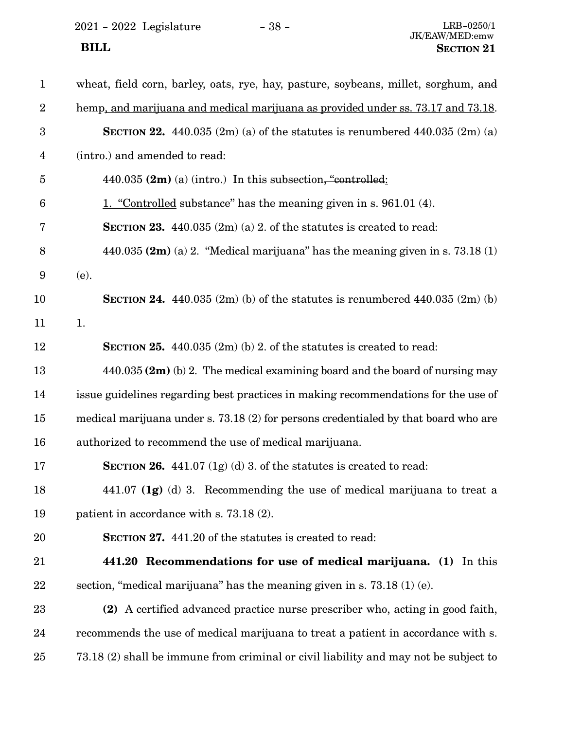2021 - 2022 Legislature - 38 -

| $\mathbf{1}$            | wheat, field corn, barley, oats, rye, hay, pasture, soybeans, millet, sorghum, and     |
|-------------------------|----------------------------------------------------------------------------------------|
| $\overline{2}$          | hemp, and marijuana and medical marijuana as provided under ss. 73.17 and 73.18.       |
| $\boldsymbol{3}$        | <b>SECTION 22.</b> 440.035 $(2m)$ (a) of the statutes is renumbered 440.035 $(2m)$ (a) |
| $\overline{\mathbf{4}}$ | (intro.) and amended to read:                                                          |
| $\overline{5}$          | 440.035 $(2m)$ (a) (intro.) In this subsection, "controlled:                           |
| $6\phantom{1}6$         | 1. "Controlled substance" has the meaning given in s. 961.01 (4).                      |
| 7                       | <b>SECTION 23.</b> 440.035 $(2m)(a)$ 2. of the statutes is created to read:            |
| 8                       | 440.035 $(2m)$ (a) 2. "Medical marijuana" has the meaning given in s. 73.18 (1)        |
| 9                       | (e).                                                                                   |
| 10                      | <b>SECTION 24.</b> 440.035 $(2m)$ (b) of the statutes is renumbered 440.035 $(2m)$ (b) |
| 11                      | 1.                                                                                     |
| 12                      | <b>SECTION 25.</b> 440.035 $(2m)$ (b) 2. of the statures is created to read:           |
| 13                      | $440.035$ (2m) (b) 2. The medical examining board and the board of nursing may         |
| 14                      | issue guidelines regarding best practices in making recommendations for the use of     |
| 15                      | medical marijuana under s. 73.18 (2) for persons credentialed by that board who are    |
| 16                      | authorized to recommend the use of medical marijuana.                                  |
| 17                      | <b>SECTION 26.</b> 441.07 $(1g)(d)$ 3. of the statutes is created to read:             |
| 18                      | 441.07 $(1g)$ (d) 3. Recommending the use of medical marijuana to treat a              |
| 19                      | patient in accordance with s. $73.18(2)$ .                                             |
| 20                      | <b>SECTION 27.</b> 441.20 of the statutes is created to read:                          |
| 21                      | 441.20 Recommendations for use of medical marijuana. (1) In this                       |
| 22                      | section, "medical marijuana" has the meaning given in s. $73.18(1)(e)$ .               |
| 23                      | (2) A certified advanced practice nurse prescriber who, acting in good faith,          |
| 24                      | recommends the use of medical marijuana to treat a patient in accordance with s.       |
| 25                      | 73.18 (2) shall be immune from criminal or civil liability and may not be subject to   |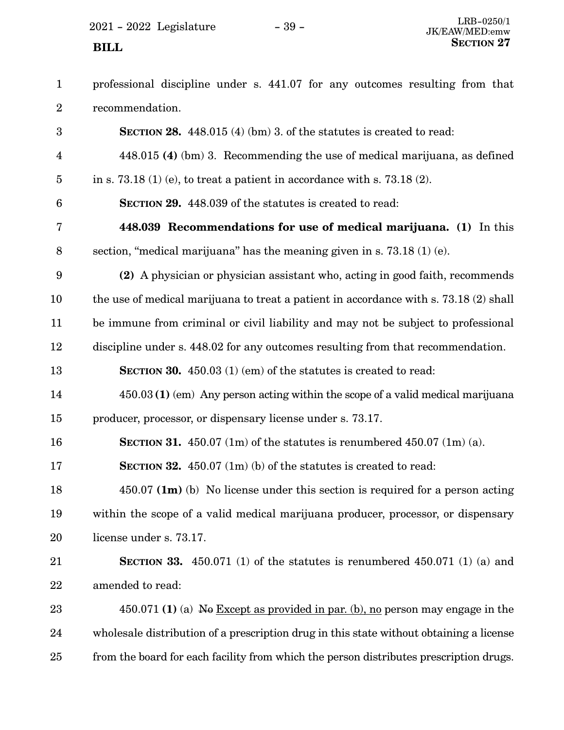$2021 - 2022$  Legislature  $- 39 -$ 

professional discipline under s. 441.07 for any outcomes resulting from that recommendation. 1 2

**SECTION 28.** 448.015 (4) (bm) 3. of the statutes is created to read: 448.015 **(4)** (bm) 3. Recommending the use of medical marijuana, as defined in s. 73.18 (1) (e), to treat a patient in accordance with s. 73.18 (2). **SECTION 29.** 448.039 of the statutes is created to read: **448.039 Recommendations for use of medical marijuana. (1)** In this section, "medical marijuana" has the meaning given in s. 73.18 (1) (e). **(2)** A physician or physician assistant who, acting in good faith, recommends the use of medical marijuana to treat a patient in accordance with s. 73.18 (2) shall be immune from criminal or civil liability and may not be subject to professional discipline under s. 448.02 for any outcomes resulting from that recommendation. **SECTION 30.** 450.03 (1) (em) of the statutes is created to read: 450.03 **(1)** (em) Any person acting within the scope of a valid medical marijuana producer, processor, or dispensary license under s. 73.17. **SECTION 31.**  $450.07$  (1m) of the statutes is renumbered  $450.07$  (1m) (a). **SECTION 32.** 450.07 (1m) (b) of the statutes is created to read: 450.07 **(1m)** (b) No license under this section is required for a person acting within the scope of a valid medical marijuana producer, processor, or dispensary license under s. 73.17. **SECTION 33.** 450.071 (1) of the statutes is renumbered 450.071 (1) (a) and amended to read: 450.071 **(1)** (a) No Except as provided in par. (b), no person may engage in the wholesale distribution of a prescription drug in this state without obtaining a license from the board for each facility from which the person distributes prescription drugs. 3 4 5 6 7 8 9 10 11 12 13 14 15 16 17 18 19 20 21 22 23 24 25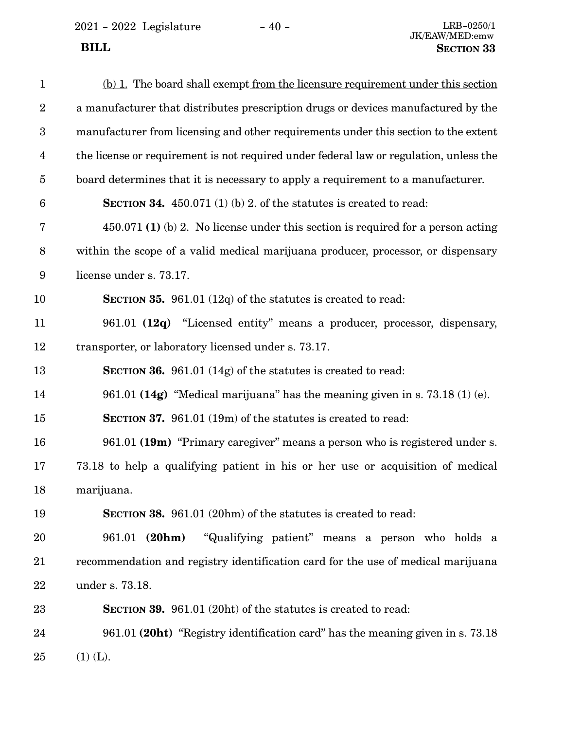2021 - 2022 Legislature - 40 -

| $\mathbf{1}$     | (b) 1. The board shall exempt from the licensure requirement under this section        |
|------------------|----------------------------------------------------------------------------------------|
| $\boldsymbol{2}$ | a manufacturer that distributes prescription drugs or devices manufactured by the      |
| $\boldsymbol{3}$ | manufacturer from licensing and other requirements under this section to the extent    |
| $\overline{4}$   | the license or requirement is not required under federal law or regulation, unless the |
| $\overline{5}$   | board determines that it is necessary to apply a requirement to a manufacturer.        |
| $\boldsymbol{6}$ | <b>SECTION 34.</b> 450.071 (1) (b) 2. of the statutes is created to read:              |
| 7                | $450.071$ (1) (b) 2. No license under this section is required for a person acting     |
| $8\,$            | within the scope of a valid medical marijuana producer, processor, or dispensary       |
| 9                | license under s. 73.17.                                                                |
| 10               | <b>SECTION 35.</b> 961.01 (12q) of the statutes is created to read:                    |
| 11               | 961.01 (12q) "Licensed entity" means a producer, processor, dispensary,                |
| 12               | transporter, or laboratory licensed under s. 73.17.                                    |
| 13               | <b>SECTION 36.</b> 961.01 (14g) of the statutes is created to read:                    |
| 14               | 961.01 (14g) "Medical marijuana" has the meaning given in s. $73.18(1)(e)$ .           |
| 15               | <b>SECTION 37.</b> 961.01 (19m) of the statutes is created to read:                    |
| 16               | 961.01 (19m) "Primary caregiver" means a person who is registered under s.             |
| 17               | 73.18 to help a qualifying patient in his or her use or acquisition of medical         |
| 18               | marijuana.                                                                             |
| 19               | <b>SECTION 38.</b> 961.01 (20hm) of the statutes is created to read:                   |
| 20               | 961.01 (20hm)<br>"Qualifying patient" means a person who holds a                       |
| 21               | recommendation and registry identification card for the use of medical marijuana       |
| 22               | under s. 73.18.                                                                        |
| 23               | <b>SECTION 39.</b> 961.01 (20ht) of the statutes is created to read:                   |
| 24               | 961.01 (20ht) "Registry identification card" has the meaning given in s. 73.18         |
| 25               | $(1)$ (L).                                                                             |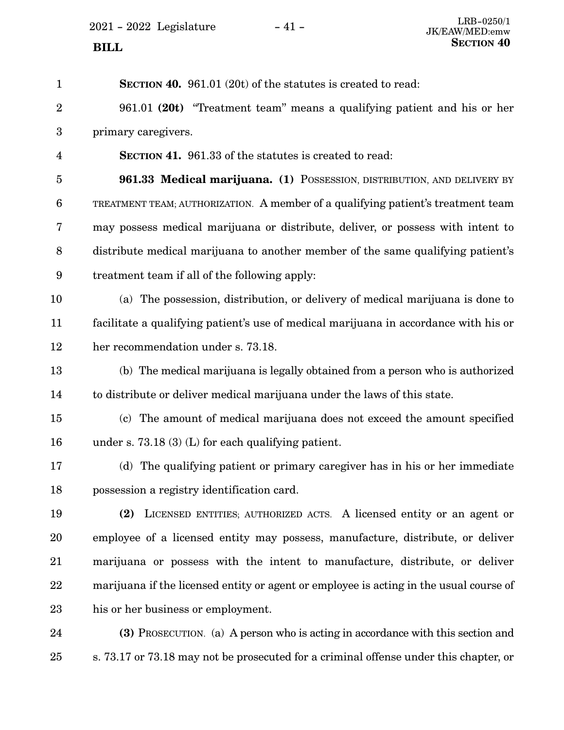$2021 - 2022$  Legislature  $-41$  -

| $\mathbf{1}$            | <b>SECTION 40.</b> 961.01 (20t) of the statutes is created to read:                    |
|-------------------------|----------------------------------------------------------------------------------------|
| $\overline{2}$          | 961.01 (20t) "Treatment team" means a qualifying patient and his or her                |
| 3                       | primary caregivers.                                                                    |
| $\overline{\mathbf{4}}$ | <b>SECTION 41.</b> 961.33 of the statutes is created to read:                          |
| $\overline{5}$          | 961.33 Medical marijuana. (1) POSSESSION, DISTRIBUTION, AND DELIVERY BY                |
| $\boldsymbol{6}$        | TREATMENT TEAM; AUTHORIZATION. A member of a qualifying patient's treatment team       |
| 7                       | may possess medical marijuana or distribute, deliver, or possess with intent to        |
| $8\,$                   | distribute medical marijuana to another member of the same qualifying patient's        |
| $9\phantom{.0}$         | treatment team if all of the following apply:                                          |
| 10                      | (a) The possession, distribution, or delivery of medical marijuana is done to          |
| 11                      | facilitate a qualifying patient's use of medical marijuana in accordance with his or   |
| 12                      | her recommendation under s. 73.18.                                                     |
| 13                      | (b) The medical marijuana is legally obtained from a person who is authorized          |
| 14                      | to distribute or deliver medical marijuana under the laws of this state.               |
| 15                      | (c) The amount of medical marijuana does not exceed the amount specified               |
| 16                      | under s. 73.18 (3) (L) for each qualifying patient.                                    |
| 17                      | (d) The qualifying patient or primary caregiver has in his or her immediate            |
| 18                      | possession a registry identification card.                                             |
| 19                      | LICENSED ENTITIES; AUTHORIZED ACTS. A licensed entity or an agent or<br>(2)            |
| 20                      | employee of a licensed entity may possess, manufacture, distribute, or deliver         |
| 21                      | marijuana or possess with the intent to manufacture, distribute, or deliver            |
| 22                      | marijuana if the licensed entity or agent or employee is acting in the usual course of |
| 23                      | his or her business or employment.                                                     |
| 24                      | (3) PROSECUTION. (a) A person who is acting in accordance with this section and        |
| 25                      | s. 73.17 or 73.18 may not be prosecuted for a criminal offense under this chapter, or  |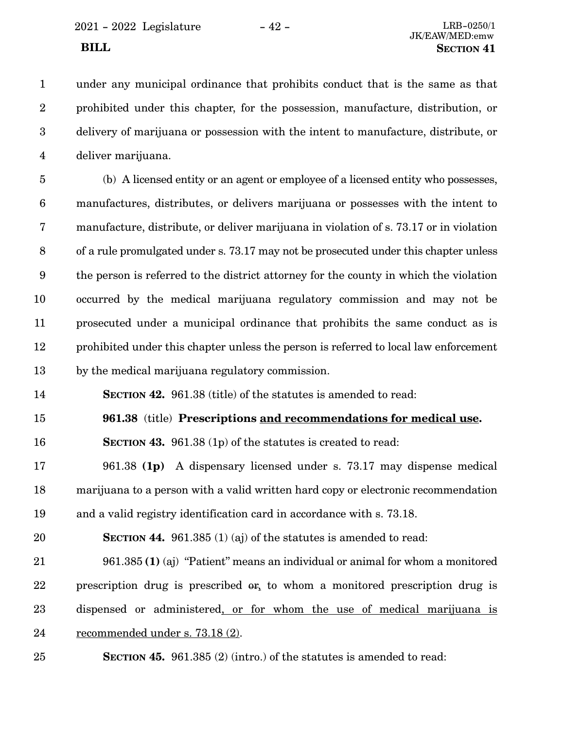under any municipal ordinance that prohibits conduct that is the same as that prohibited under this chapter, for the possession, manufacture, distribution, or delivery of marijuana or possession with the intent to manufacture, distribute, or deliver marijuana. 1 2 3 4

(b) A licensed entity or an agent or employee of a licensed entity who possesses, manufactures, distributes, or delivers marijuana or possesses with the intent to manufacture, distribute, or deliver marijuana in violation of s. 73.17 or in violation of a rule promulgated under s. 73.17 may not be prosecuted under this chapter unless the person is referred to the district attorney for the county in which the violation occurred by the medical marijuana regulatory commission and may not be prosecuted under a municipal ordinance that prohibits the same conduct as is prohibited under this chapter unless the person is referred to local law enforcement by the medical marijuana regulatory commission. 5 6 7 8 9 10 11 12 13

**SECTION 42.** 961.38 (title) of the statutes is amended to read: 14

**961.38** (title) **Prescriptions and recommendations for medical use.** 15

**SECTION 43.** 961.38 (1p) of the statutes is created to read: 16

961.38 **(1p)** A dispensary licensed under s. 73.17 may dispense medical marijuana to a person with a valid written hard copy or electronic recommendation and a valid registry identification card in accordance with s. 73.18. 17 18 19

**SECTION 44.** 961.385 (1) (aj) of the statutes is amended to read: 20

961.385 **(1)** (aj) "Patient" means an individual or animal for whom a monitored prescription drug is prescribed or, to whom a monitored prescription drug is dispensed or administered, or for whom the use of medical marijuana is recommended under s. 73.18 (2). 21 22 23 24

**SECTION 45.** 961.385 (2) (intro.) of the statutes is amended to read: 25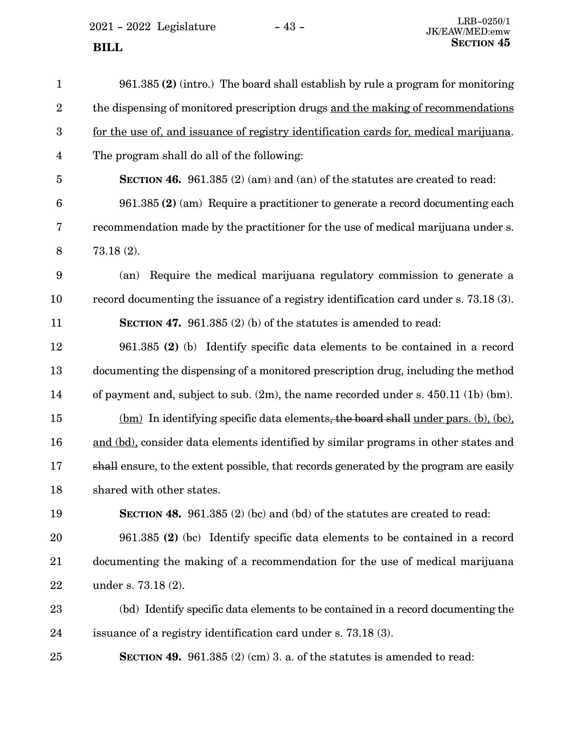$2021 - 2022$  Legislature  $-43$  -

| $\mathbf{1}$   | 961.385 (2) (intro.) The board shall establish by rule a program for monitoring        |
|----------------|----------------------------------------------------------------------------------------|
| $\overline{2}$ | the dispensing of monitored prescription drugs and the making of recommendations       |
| 3              | for the use of, and issuance of registry identification cards for, medical marijuana.  |
| $\overline{4}$ | The program shall do all of the following:                                             |
| $\overline{5}$ | <b>SECTION 46.</b> 961.385 (2) (am) and (an) of the statutes are created to read:      |
| 6              | $961.385$ (2) (am) Require a practitioner to generate a record documenting each        |
| 7              | recommendation made by the practitioner for the use of medical marijuana under s.      |
| 8              | $73.18(2)$ .                                                                           |
| 9              | Require the medical marijuana regulatory commission to generate a<br>(an)              |
| 10             | record documenting the issuance of a registry identification card under s. 73.18 (3).  |
| 11             | <b>SECTION 47.</b> 961.385 (2) (b) of the statutes is amended to read:                 |
| 12             | 961.385 (2) (b) Identify specific data elements to be contained in a record            |
| 13             | documenting the dispensing of a monitored prescription drug, including the method      |
| 14             | of payment and, subject to sub. $(2m)$ , the name recorded under s. 450.11 (1b) (bm).  |
| 15             | (bm) In identifying specific data elements, the board shall under pars. (b), (bc),     |
| 16             | and (bd), consider data elements identified by similar programs in other states and    |
| 17             | shall ensure, to the extent possible, that records generated by the program are easily |
| 18             | shared with other states.                                                              |
| 19             | <b>SECTION 48.</b> 961.385 (2) (bc) and (bd) of the statutes are created to read:      |
| 20             | 961.385 (2) (bc) Identify specific data elements to be contained in a record           |
| $21\,$         | documenting the making of a recommendation for the use of medical marijuana            |
| 22             | under s. 73.18 (2).                                                                    |
| $23\,$         | (bd) Identify specific data elements to be contained in a record documenting the       |
| 24             | issuance of a registry identification card under s. 73.18 (3).                         |

**SECTION 49.** 961.385 (2) (cm) 3. a. of the statutes is amended to read:

25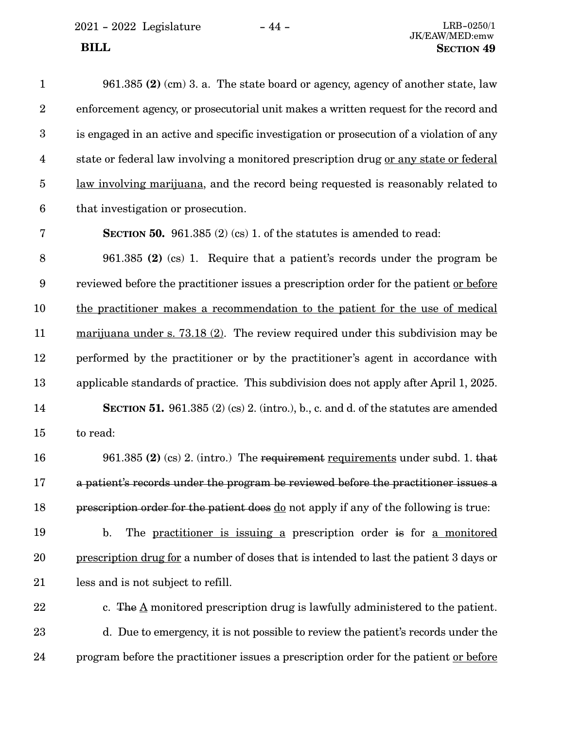| $\mathbf{1}$            | 961.385 (2) (cm) 3. a. The state board or agency, agency of another state, law                |
|-------------------------|-----------------------------------------------------------------------------------------------|
| $\sqrt{2}$              | enforcement agency, or prosecutorial unit makes a written request for the record and          |
| $\boldsymbol{3}$        | is engaged in an active and specific investigation or prosecution of a violation of any       |
| $\overline{\mathbf{4}}$ | state or federal law involving a monitored prescription drug or any state or federal          |
| $\overline{5}$          | law involving marijuana, and the record being requested is reasonably related to              |
| $\boldsymbol{6}$        | that investigation or prosecution.                                                            |
| 7                       | <b>SECTION 50.</b> 961.385 (2) (cs) 1. of the statures is amended to read:                    |
| $\, 8$                  | 961.385 (2) (cs) 1. Require that a patient's records under the program be                     |
| $\boldsymbol{9}$        | reviewed before the practitioner issues a prescription order for the patient or before        |
| 10                      | the practitioner makes a recommendation to the patient for the use of medical                 |
| 11                      | $\frac{1}{2}$ marijuana under s. 73.18 (2). The review required under this subdivision may be |
| 12                      | performed by the practitioner or by the practitioner's agent in accordance with               |
| 13                      | applicable standards of practice. This subdivision does not apply after April 1, 2025.        |
| 14                      | <b>SECTION 51.</b> 961.385 (2) (cs) 2. (intro.), b., c. and d. of the statutes are amended    |
| 15                      | to read:                                                                                      |
| 16                      | 961.385 (2) (cs) 2. (intro.) The requirement requirements under subd. 1. that                 |
| 17                      | a patient's records under the program be reviewed before the practitioner issues a            |
| 18                      | prescription order for the patient does do not apply if any of the following is true:         |
| 19                      | The practitioner is issuing a prescription order is for a monitored<br>$\mathbf{b}$ .         |
| 20                      | prescription drug for a number of doses that is intended to last the patient 3 days or        |
| 21                      | less and is not subject to refill.                                                            |
| 22                      | c. The $\underline{A}$ monitored prescription drug is lawfully administered to the patient.   |
| 23                      | d. Due to emergency, it is not possible to review the patient's records under the             |
|                         |                                                                                               |

program before the practitioner issues a prescription order for the patient or before

24